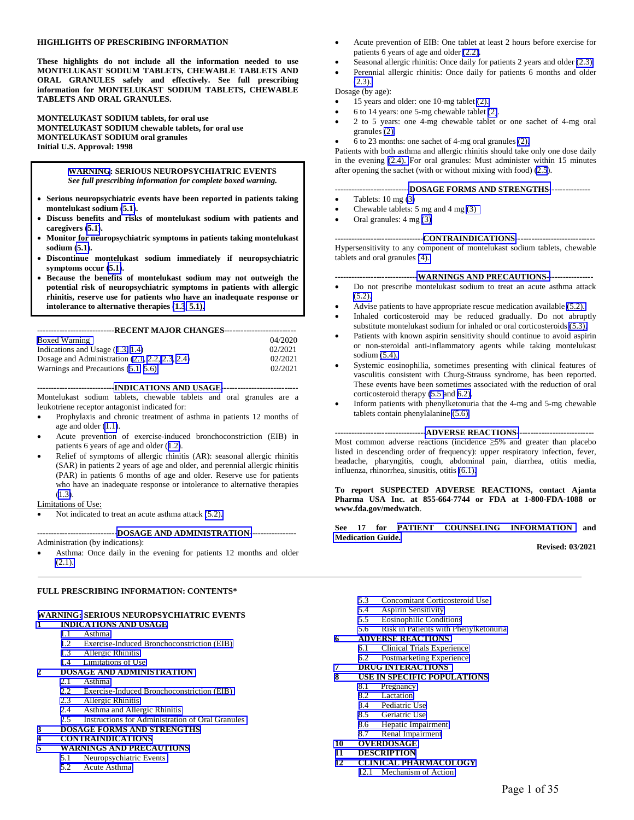#### **HIGHLIGHTS OF PRESCRIBING INFORMATION**

**These highlights do not include all the information needed to use MONTELUKAST SODIUM TABLETS, CHEWABLE TABLETS AND ORAL GRANULES safely and effectively. See full prescribing information for MONTELUKAST SODIUM TABLETS, CHEWABLE TABLETS AND ORAL GRANULES.** 

**MONTELUKAST SODIUM tablets, for oral use MONTELUKAST SODIUM chewable tablets, for oral use MONTELUKAST SODIUM oral granules Initial U.S. Approval: 1998** 

> **[WARNING](#page-2-1): SERIOUS NEUROPSYCHIATRIC EVENTS**  *See full prescribing information for complete boxed warning.*

- **Serious neuropsychiatric events have been reported in patients taking montelukast sodium [\(5.1\)](#page-5-0).**
- **Discuss benefits and risks of montelukast sodium with patients and caregivers [\(5.1\)](#page-5-0).**
- **Monitor for neuropsychiatric symptoms in patients taking montelukast sodium [\(5.1\)](#page-5-0).**
- **Discontinue montelukast sodium immediately if neuropsychiatric symptoms occur [\(5.1\)](#page-5-0).**
- **Because the benefits of montelukast sodium may not outweigh the potential risk of neuropsychiatric symptoms in patients with allergic rhinitis, reserve use for patients who have an inadequate response or intolerance to alternative therapies [\(1.3](#page-2-0)[, 5.1\).](#page-5-0)**

| ----------------------------RECENT MAJOR CHANGES-------------------------- |         |  |  |
|----------------------------------------------------------------------------|---------|--|--|
| Boxed Warning                                                              | 04/2020 |  |  |
| Indications and Usage $(1.3, 1.4)$                                         | 02/2021 |  |  |
| Dosage and Administration $(2.1, 2.2, 2.3, 2.4)$                           | 02/2021 |  |  |
| Warnings and Precautions (5.1, 5.6)                                        | 02/2021 |  |  |

**---------------------------[-INDICATIONS AND USAGE-](#page-2-0)---------------------------** Montelukast sodium tablets, chewable tablets and oral granules are a leukotriene receptor antagonist indicated for:

- Prophylaxis and chronic treatment of asthma in patients 12 months of age and older [\(1.1\)](#page-2-0).
- Acute prevention of exercise-induced bronchoconstriction (EIB) in patients 6 years of age and older ([1.2\)](#page-2-0).
- Relief of symptoms of allergic rhinitis (AR): seasonal allergic rhinitis (SAR) in patients 2 years of age and older, and perennial allergic rhinitis (PAR) in patients 6 months of age and older. Reserve use for patients who have an inadequate response or intolerance to alternative therapies ([1.3\)](#page-2-0).

#### Limitations of Use:

Not indicated to treat an acute asthma attack [\(5.2\).](#page-6-1)

**----------------------------[-DOSAGE AND ADMINISTRATION-](#page-3-0)----------------**  Administration (by indications):

 Asthma: Once daily in the evening for patients 12 months and older [\(2.1\).](#page-3-0)

#### **FULL PRESCRIBING INFORMATION: CONTENTS\***

#### **[WARNING:](#page-2-2) SERIOUS NEUROPSYCHIATRIC EVENTS**

- **[1 INDICATIONS AND USAGE](#page-2-0)**
	- 1.1 [Asthma](#page-2-0)
	- 1.2 Exercise-Induced Bronchoconstriction (EIB)<br>1.3 Allergic Rhinitis
	- [1.3 Allergic Rhinitis](#page-2-0)
	- [1.4 Limitations of Use](#page-3-0)

# 2 **DOSAGE AND ADMINISTRATION**

- Asthma
- 2.2 Exercise-Induced Bronchoconstriction (EIB)<br>2.3 Allergic Rhinitis
- 2.3 Allergic Rhinitis<br>2.4 Asthma and Alle
- 2.4 Asthma and Allergic Rhinitis<br>2.5 Instructions for Administration
- Instructions for Administration of Oral Granules

#### **[3 DOSAGE FORMS AND STRENGTHS](#page-5-0)**

#### **[4 CONTRAINDICATIONS](#page-5-0)**

- **[5 WARNINGS AND PRECAUTIONS](#page-5-0)** 
	- [5.1 Neuropsychiatric Events](#page-5-0)
	- [5.2 Acute Asthma](#page-6-1)
- Acute prevention of EIB: One tablet at least 2 hours before exercise for patients 6 years of age and older [\(2.2\).](#page-3-0)
- Seasonal allergic rhinitis: Once daily for patients 2 years and older [\(2.3\).](#page-4-0)
- Perennial allergic rhinitis: Once daily for patients 6 months and older  $(2.3)$ .

#### Dosage (by age):

- 15 years and older: one 10-mg tablet [\(2\).](#page-3-0)
- 6 to 14 years: one 5-mg chewable tablet [\(2\)](#page-3-0).
- 2 to 5 years: one 4-mg chewable tablet or one sachet of 4-mg oral granules [\(2\).](#page-3-0)
- 6 to 23 months: one sachet of 4-mg oral granules [\(2\).](#page-3-0)

Patients with both asthma and allergic rhinitis should take only one dose daily in the evening [\(2.4\).](#page-4-0) For oral granules: Must administer within 15 minutes after opening the sachet (with or without mixing with food) [\(2.5](#page-4-0)).

#### **--------------------------[-DOSAGE FORMS AND STRENGTHS-](#page-5-0)--------------**

- Tablets: 10 mg [\(3\)](#page-5-0)
- Chewable tablets: 5 mg and 4 mg [\(3\)](#page-5-0)
- $\bullet$  Oral granules:  $4 \text{ mg } (3)$

#### **--------------------------------[CONTRAINDICATIONS-](#page-5-0)----------------------------**

Hypersensitivity to any component of montelukast sodium tablets, chewable tablets and oral granules [\(4\).](#page-5-0) 

#### **-----------------------------[-WARNINGS AND PRECAUTIONS--](#page-5-0)---------------**

- Do not prescribe montelukast sodium to treat an acute asthma attack  $(5.2)$ .
- Advise patients to have appropriate rescue medication available [\(5.2\).](#page-6-1)
- Inhaled corticosteroid may be reduced gradually. Do not abruptly substitute montelukast sodium for inhaled or oral corticosteroids [\(5.3\).](#page-6-1)
- Patients with known aspirin sensitivity should continue to avoid aspirin or non-steroidal anti-inflammatory agents while taking montelukast sodium [\(5.4\).](#page-6-0)
- Systemic eosinophilia, sometimes presenting with clinical features of vasculitis consistent with Churg-Strauss syndrome, has been reported. These events have been sometimes associated with the reduction of oral corticosteroid therapy [\(5.5](#page-6-0) and [6.2\).](#page-10-0)
- Inform patients with phenylketonuria that the 4-mg and 5-mg chewable tablets contain phenylalanine [\(5.6\).](#page-6-0)

**--------------------------------[-ADVERSE REACTIONS-](#page-7-0)---------------------------** 

Most common adverse reactions (incidence ≥5% and greater than placebo listed in descending order of frequency): upper respiratory infection, fever, headache, pharyngitis, cough, abdominal pain, diarrhea, otitis media, influenza, rhinorrhea, sinusitis, otitis [\(6.1\).](#page-7-0)

**To report SUSPECTED ADVERSE REACTIONS, contact Ajanta Pharma USA Inc. at 855-664-7744 or FDA at 1-800-FDA-1088 or www.fda.gov/medwatch**.

**See 17 for [PATIENT COUNSELING INFORMATION](#page-29-0) and [Medication Guide.](#page-30-0)** 

**Revised: 03/2021** 

- 5.3 Concomitant Corticosteroid Use<br>5.4 Aspirin Sensitivity
- 5.4 Aspirin Sensitivity<br>5.5 Eosinophilic Condi
- [5.5 Eosinophilic Conditions](#page-6-0)
- [5.6 Risk in Patients with Phenylketonuria](#page-6-0)

#### **[6 ADVERSE REACTIONS](#page-7-0)**

- [6.1 Clinical Trials Experience](#page-7-0)
- [6.2 Postmarketing Experience](#page-10-0)
- **[7 DRUG INTERACTIONS](#page-11-0)**
- **[8 USE IN SPECIFIC POPULATIONS](#page-11-0)** 
	- [8.1 Pregnancy](#page-11-0)
	- [8.2 Lactation](#page-12-0)
	- [8.4 Pediatric Use](#page-12-0)
	- [8.5 Geriatric Use](#page-14-0)
	- [8.6 Hepatic Impairment](#page-14-1)
	- [8.7 Renal Impairment](#page-14-0)
- **[10 OVERDOSAGE](#page-14-0)**
- **[11 DESCRIPTION](#page-15-0)**
- **[12 CLINICAL PHARMACOLOGY](#page-15-0)** 
	- [12.1 Mechanism of Action](#page-15-0)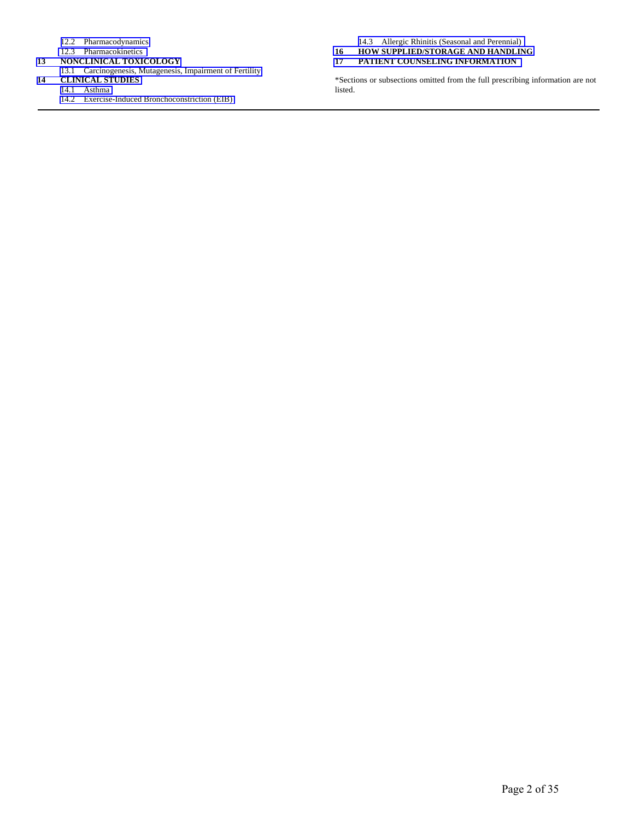- [12.2 Pharmacodynamics](#page-16-0)
- [12.3 Pharmacokinetics](#page-16-0)
- **[13 NONCLINICAL TOXICOLOGY](#page-20-0)**
- 13.1 Carcinogenesis, Mutagenesis, Impairment of Fertility<br> **14 CLINICAL STUDIES** 
	- **[14 CLINICAL STUDIES](#page-21-0)**  [14.1 Asthma](#page-21-0) 
		- [14.2 Exercise-Induced Bronchoconstriction \(EIB\)](#page-24-0)

[14.3 Allergic Rhinitis \(Seasonal and Perennial\)](#page-26-0) 

- **[16 HOW SUPPLIED/STORAGE AND HANDLING](#page-28-0)**
- **[17 PATIENT COUNSELING INFORMATION](#page-29-0)**

\*Sections or subsections omitted from the full prescribing information are not listed.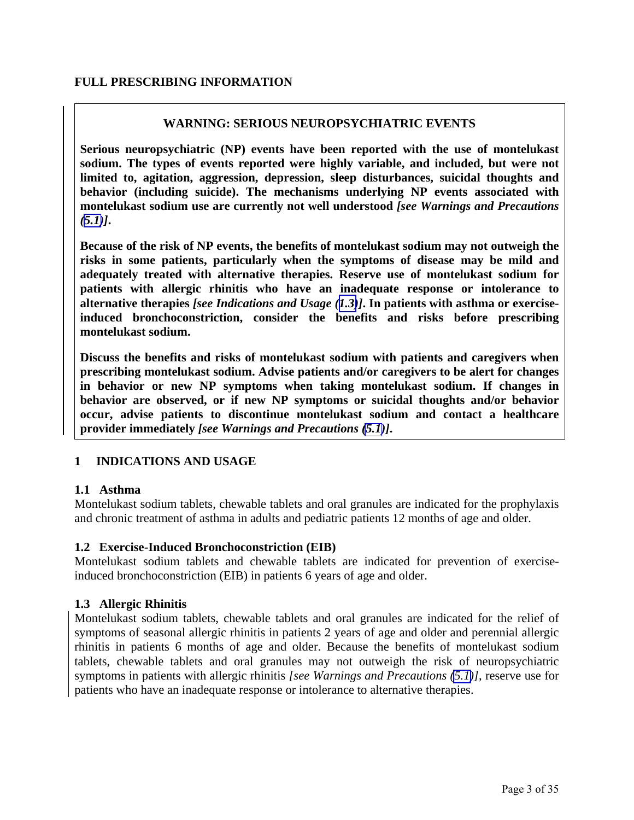## <span id="page-2-4"></span><span id="page-2-3"></span><span id="page-2-2"></span><span id="page-2-1"></span><span id="page-2-0"></span>**FULL PRESCRIBING INFORMATION**

## **WARNING: SERIOUS NEUROPSYCHIATRIC EVENTS**

**Serious neuropsychiatric (NP) events have been reported with the use of montelukast sodium. The types of events reported were highly variable, and included, but were not limited to, agitation, aggression, depression, sleep disturbances, suicidal thoughts and behavior (including suicide). The mechanisms underlying NP events associated with montelukast sodium use are currently not well understood** *[see Warnings and Precautions*   $(5.1)$ ].

**Because of the risk of NP events, the benefits of montelukast sodium may not outweigh the risks in some patients, particularly when the symptoms of disease may be mild and adequately treated with alternative therapies. Reserve use of montelukast sodium for patients with allergic rhinitis who have an inadequate response or intolerance to alternative therapies** *[see Indications and Usage ([1.3\)](#page-2-3)]***. In patients with asthma or exerciseinduced bronchoconstriction, consider the benefits and risks before prescribing montelukast sodium.** 

**Discuss the benefits and risks of montelukast sodium with patients and caregivers when prescribing montelukast sodium. Advise patients and/or caregivers to be alert for changes in behavior or new NP symptoms when taking montelukast sodium. If changes in behavior are observed, or if new NP symptoms or suicidal thoughts and/or behavior occur, advise patients to discontinue montelukast sodium and contact a healthcare provider immediately** *[see Warnings and Precautions [\(5.1\)](#page-5-0)]***.** 

# **1 INDICATIONS AND USAGE**

## **1.1 Asthma**

Montelukast sodium tablets, chewable tablets and oral granules are indicated for the prophylaxis and chronic treatment of asthma in adults and pediatric patients 12 months of age and older.

## **1.2 Exercise-Induced Bronchoconstriction (EIB)**

Montelukast sodium tablets and chewable tablets are indicated for prevention of exerciseinduced bronchoconstriction (EIB) in patients 6 years of age and older.

# **1.3 Allergic Rhinitis**

Montelukast sodium tablets, chewable tablets and oral granules are indicated for the relief of symptoms of seasonal allergic rhinitis in patients 2 years of age and older and perennial allergic rhinitis in patients 6 months of age and older. Because the benefits of montelukast sodium tablets, chewable tablets and oral granules may not outweigh the risk of neuropsychiatric symptoms in patients with allergic rhinitis *[see Warnings and Precautions [\(5.1\)](#page-5-0)]*, reserve use for patients who have an inadequate response or intolerance to alternative therapies.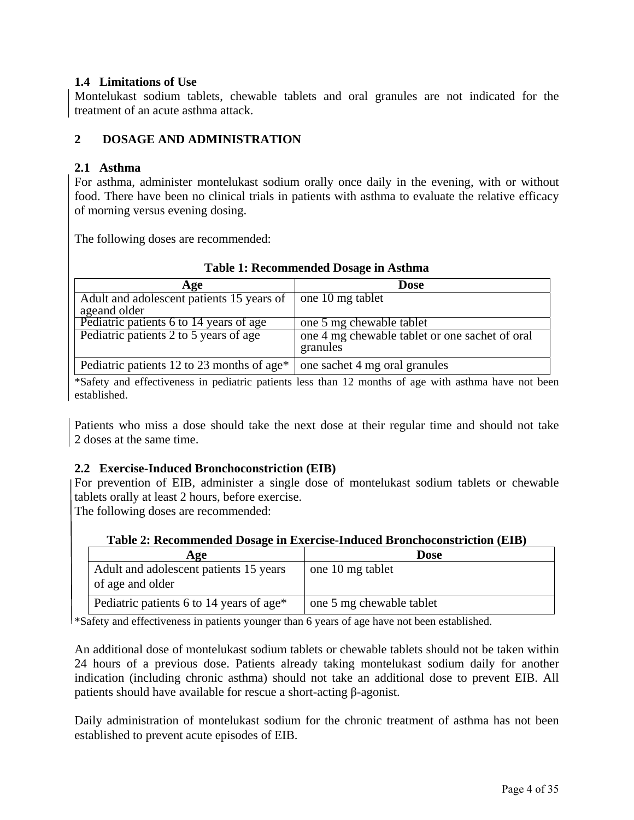## <span id="page-3-0"></span>**1.4 Limitations of Use**

Montelukast sodium tablets, chewable tablets and oral granules are not indicated for the treatment of an acute asthma attack.

# **2 DOSAGE AND ADMINISTRATION**

## **2.1 Asthma**

For asthma, administer montelukast sodium orally once daily in the evening, with or without food. There have been no clinical trials in patients with asthma to evaluate the relative efficacy of morning versus evening dosing.

The following doses are recommended:

| Age                                                       | Dose                                                       |  |  |  |
|-----------------------------------------------------------|------------------------------------------------------------|--|--|--|
| Adult and adolescent patients 15 years of<br>ageand older | one 10 mg tablet                                           |  |  |  |
| Pediatric patients 6 to 14 years of age                   | one 5 mg chewable tablet                                   |  |  |  |
| Pediatric patients 2 to 5 years of age                    | one 4 mg chewable tablet or one sachet of oral<br>granules |  |  |  |
| Pediatric patients 12 to 23 months of age*                | one sachet 4 mg oral granules                              |  |  |  |

## **Table 1: Recommended Dosage in Asthma**

\*Safety and effectiveness in pediatric patients less than 12 months of age with asthma have not been established.

Patients who miss a dose should take the next dose at their regular time and should not take 2 doses at the same time.

## **2.2 Exercise-Induced Bronchoconstriction (EIB)**

For prevention of EIB, administer a single dose of montelukast sodium tablets or chewable tablets orally at least 2 hours, before exercise.

The following doses are recommended:

| Table 2: Recommended Dosage in Exercise-Induced Bronchoconstriction (EIB) |  |
|---------------------------------------------------------------------------|--|
|---------------------------------------------------------------------------|--|

| Age                                                        | Dose                     |
|------------------------------------------------------------|--------------------------|
| Adult and adolescent patients 15 years<br>of age and older | one 10 mg tablet         |
| Pediatric patients 6 to 14 years of age*                   | one 5 mg chewable tablet |

\*Safety and effectiveness in patients younger than 6 years of age have not been established.

An additional dose of montelukast sodium tablets or chewable tablets should not be taken within 24 hours of a previous dose. Patients already taking montelukast sodium daily for another indication (including chronic asthma) should not take an additional dose to prevent EIB. All patients should have available for rescue a short-acting β-agonist.

Daily administration of montelukast sodium for the chronic treatment of asthma has not been established to prevent acute episodes of EIB.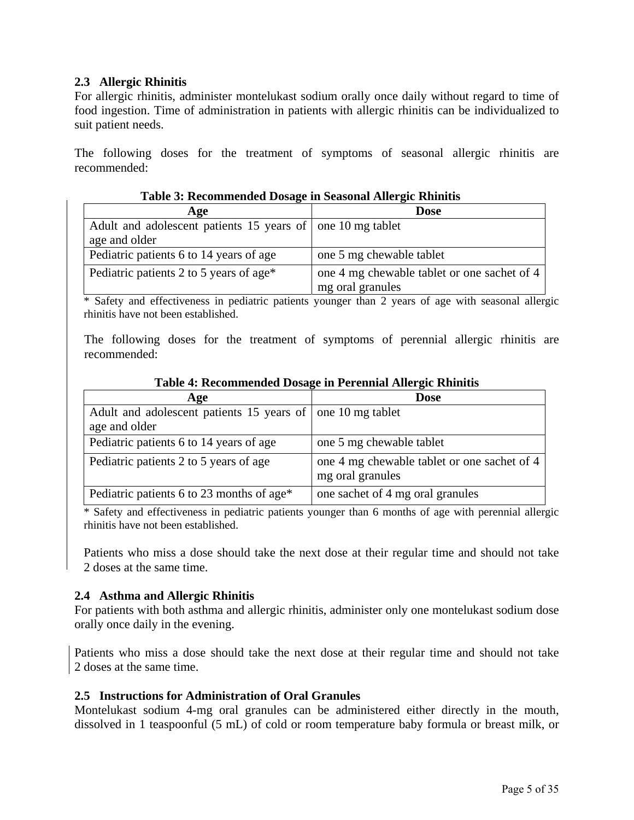## <span id="page-4-0"></span>**2.3 Allergic Rhinitis**

For allergic rhinitis, administer montelukast sodium orally once daily without regard to time of food ingestion. Time of administration in patients with allergic rhinitis can be individualized to suit patient needs.

The following doses for the treatment of symptoms of seasonal allergic rhinitis are recommended:

| Age                                                        | <b>Dose</b>                                 |
|------------------------------------------------------------|---------------------------------------------|
| Adult and adolescent patients 15 years of one 10 mg tablet |                                             |
| age and older                                              |                                             |
| Pediatric patients 6 to 14 years of age                    | one 5 mg chewable tablet                    |
| Pediatric patients 2 to 5 years of age*                    | one 4 mg chewable tablet or one sachet of 4 |
|                                                            | mg oral granules                            |

**Table 3: Recommended Dosage in Seasonal Allergic Rhinitis**

\* Safety and effectiveness in pediatric patients younger than 2 years of age with seasonal allergic rhinitis have not been established.

The following doses for the treatment of symptoms of perennial allergic rhinitis are recommended:

| Age                                                        | <b>Dose</b>                                                     |
|------------------------------------------------------------|-----------------------------------------------------------------|
| Adult and adolescent patients 15 years of one 10 mg tablet |                                                                 |
| age and older                                              |                                                                 |
| Pediatric patients 6 to 14 years of age                    | one 5 mg chewable tablet                                        |
| Pediatric patients 2 to 5 years of age                     | one 4 mg chewable tablet or one sachet of 4<br>mg oral granules |
| Pediatric patients 6 to 23 months of age*                  | one sachet of 4 mg oral granules                                |

#### **Table 4: Recommended Dosage in Perennial Allergic Rhinitis**

\* Safety and effectiveness in pediatric patients younger than 6 months of age with perennial allergic rhinitis have not been established.

Patients who miss a dose should take the next dose at their regular time and should not take 2 doses at the same time.

## **2.4 Asthma and Allergic Rhinitis**

For patients with both asthma and allergic rhinitis, administer only one montelukast sodium dose orally once daily in the evening.

Patients who miss a dose should take the next dose at their regular time and should not take 2 doses at the same time.

## **2.5 Instructions for Administration of Oral Granules**

Montelukast sodium 4-mg oral granules can be administered either directly in the mouth, dissolved in 1 teaspoonful (5 mL) of cold or room temperature baby formula or breast milk, or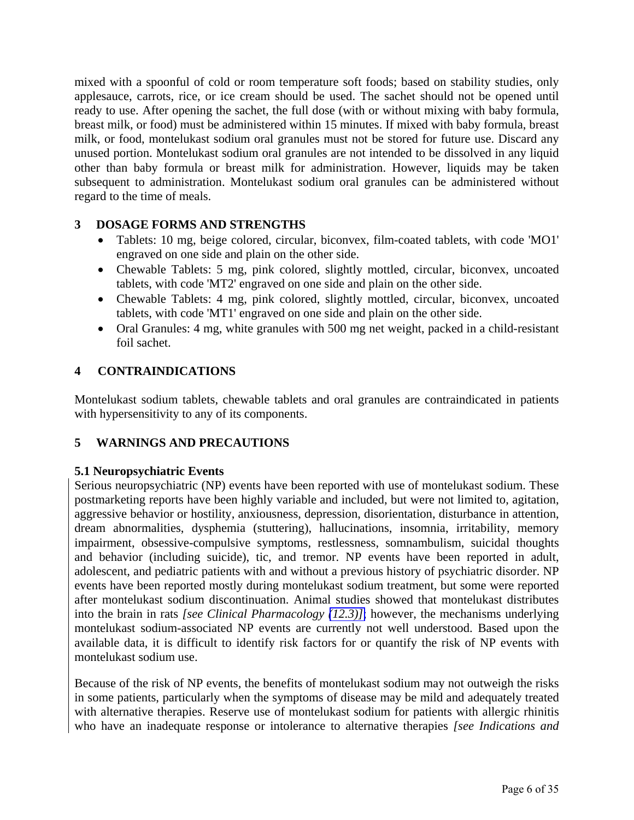<span id="page-5-2"></span><span id="page-5-1"></span><span id="page-5-0"></span>mixed with a spoonful of cold or room temperature soft foods; based on stability studies, only applesauce, carrots, rice, or ice cream should be used. The sachet should not be opened until ready to use. After opening the sachet, the full dose (with or without mixing with baby formula, breast milk, or food) must be administered within 15 minutes. If mixed with baby formula, breast milk, or food, montelukast sodium oral granules must not be stored for future use. Discard any unused portion. Montelukast sodium oral granules are not intended to be dissolved in any liquid other than baby formula or breast milk for administration. However, liquids may be taken subsequent to administration. Montelukast sodium oral granules can be administered without regard to the time of meals.

# **3 DOSAGE FORMS AND STRENGTHS**

- Tablets: 10 mg, beige colored, circular, biconvex, film-coated tablets, with code 'MO1' engraved on one side and plain on the other side.
- Chewable Tablets: 5 mg, pink colored, slightly mottled, circular, biconvex, uncoated tablets, with code 'MT2' engraved on one side and plain on the other side.
- Chewable Tablets: 4 mg, pink colored, slightly mottled, circular, biconvex, uncoated tablets, with code 'MT1' engraved on one side and plain on the other side.
- Oral Granules: 4 mg, white granules with 500 mg net weight, packed in a child-resistant foil sachet.

# **4 CONTRAINDICATIONS**

Montelukast sodium tablets, chewable tablets and oral granules are contraindicated in patients with hypersensitivity to any of its components.

# **5 WARNINGS AND PRECAUTIONS**

# **5.1 Neuropsychiatric Events**

Serious neuropsychiatric (NP) events have been reported with use of montelukast sodium. These postmarketing reports have been highly variable and included, but were not limited to, agitation, aggressive behavior or hostility, anxiousness, depression, disorientation, disturbance in attention, dream abnormalities, dysphemia (stuttering), hallucinations, insomnia, irritability, memory impairment, obsessive-compulsive symptoms, restlessness, somnambulism, suicidal thoughts and behavior (including suicide), tic, and tremor. NP events have been reported in adult, adolescent, and pediatric patients with and without a previous history of psychiatric disorder. NP events have been reported mostly during montelukast sodium treatment, but some were reported after montelukast sodium discontinuation. Animal studies showed that montelukast distributes into the brain in rats *[see Clinical Pharmacology [\(12.3\)\]](#page-16-1)*; however, the mechanisms underlying montelukast sodium-associated NP events are currently not well understood. Based upon the available data, it is difficult to identify risk factors for or quantify the risk of NP events with montelukast sodium use.

Because of the risk of NP events, the benefits of montelukast sodium may not outweigh the risks in some patients, particularly when the symptoms of disease may be mild and adequately treated with alternative therapies. Reserve use of montelukast sodium for patients with allergic rhinitis who have an inadequate response or intolerance to alternative therapies *[see Indications and*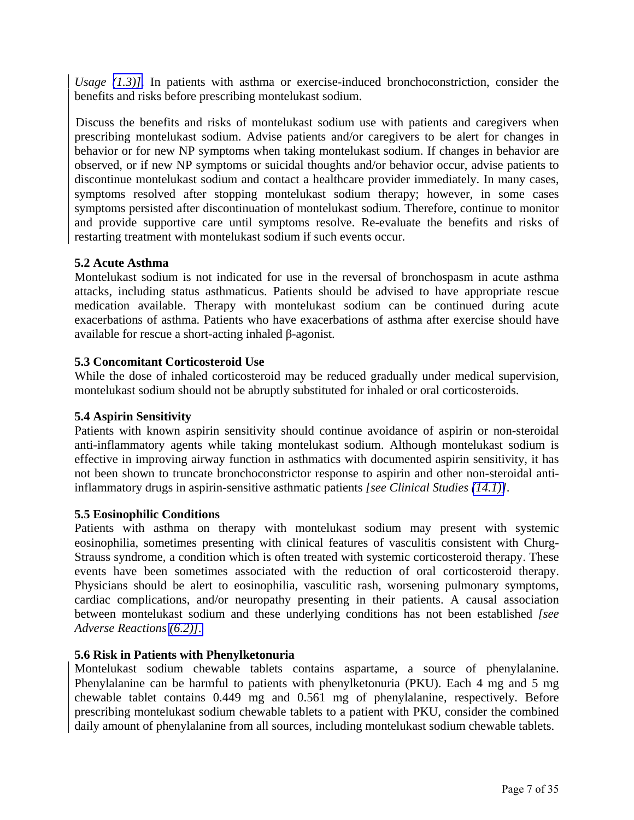<span id="page-6-3"></span><span id="page-6-2"></span><span id="page-6-1"></span><span id="page-6-0"></span>*Usage [\(1.3\)\]](#page-2-4)*. In patients with asthma or exercise-induced bronchoconstriction, consider the benefits and risks before prescribing montelukast sodium.

Discuss the benefits and risks of montelukast sodium use with patients and caregivers when prescribing montelukast sodium. Advise patients and/or caregivers to be alert for changes in behavior or for new NP symptoms when taking montelukast sodium. If changes in behavior are observed, or if new NP symptoms or suicidal thoughts and/or behavior occur, advise patients to discontinue montelukast sodium and contact a healthcare provider immediately. In many cases, symptoms resolved after stopping montelukast sodium therapy; however, in some cases symptoms persisted after discontinuation of montelukast sodium. Therefore, continue to monitor and provide supportive care until symptoms resolve. Re-evaluate the benefits and risks of restarting treatment with montelukast sodium if such events occur*.* 

## **5.2 Acute Asthma**

Montelukast sodium is not indicated for use in the reversal of bronchospasm in acute asthma attacks, including status asthmaticus. Patients should be advised to have appropriate rescue medication available. Therapy with montelukast sodium can be continued during acute exacerbations of asthma. Patients who have exacerbations of asthma after exercise should have available for rescue a short-acting inhaled β-agonist.

## **5.3 Concomitant Corticosteroid Use**

While the dose of inhaled corticosteroid may be reduced gradually under medical supervision, montelukast sodium should not be abruptly substituted for inhaled or oral corticosteroids.

## **5.4 Aspirin Sensitivity**

Patients with known aspirin sensitivity should continue avoidance of aspirin or non-steroidal anti-inflammatory agents while taking montelukast sodium. Although montelukast sodium is effective in improving airway function in asthmatics with documented aspirin sensitivity, it has not been shown to truncate bronchoconstrictor response to aspirin and other non-steroidal antiinflammatory drugs in aspirin-sensitive asthmatic patients *[see Clinical Studies [\(14.1\)\]](#page-21-0)*.

## **5.5 Eosinophilic Conditions**

Patients with asthma on therapy with montelukast sodium may present with systemic eosinophilia, sometimes presenting with clinical features of vasculitis consistent with Churg-Strauss syndrome, a condition which is often treated with systemic corticosteroid therapy. These events have been sometimes associated with the reduction of oral corticosteroid therapy. Physicians should be alert to eosinophilia, vasculitic rash, worsening pulmonary symptoms, cardiac complications, and/or neuropathy presenting in their patients. A causal association between montelukast sodium and these underlying conditions has not been established *[see Adverse Reactions [\(6.2\)\]](#page-10-0)*.

## **5.6 Risk in Patients with Phenylketonuria**

Montelukast sodium chewable tablets contains aspartame, a source of phenylalanine. Phenylalanine can be harmful to patients with phenylketonuria (PKU). Each 4 mg and 5 mg chewable tablet contains 0.449 mg and 0.561 mg of phenylalanine, respectively. Before prescribing montelukast sodium chewable tablets to a patient with PKU, consider the combined daily amount of phenylalanine from all sources, including montelukast sodium chewable tablets.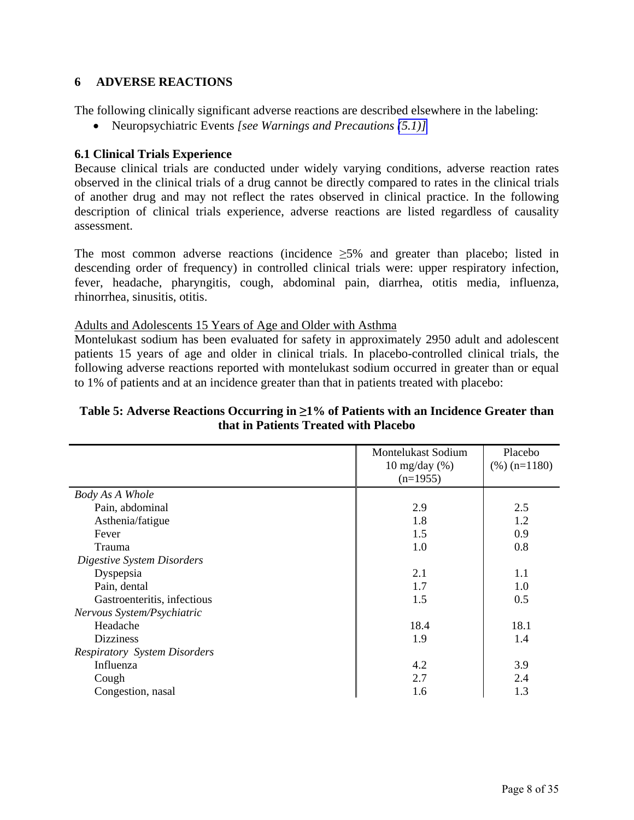## <span id="page-7-0"></span>**6 ADVERSE REACTIONS**

The following clinically significant adverse reactions are described elsewhere in the labeling:

Neuropsychiatric Events *[see Warnings and Precautions [\(5.1\)\]](#page-5-1)*

## **6.1 Clinical Trials Experience**

Because clinical trials are conducted under widely varying conditions, adverse reaction rates observed in the clinical trials of a drug cannot be directly compared to rates in the clinical trials of another drug and may not reflect the rates observed in clinical practice. In the following description of clinical trials experience, adverse reactions are listed regardless of causality assessment.

The most common adverse reactions (incidence  $\geq$ 5% and greater than placebo; listed in descending order of frequency) in controlled clinical trials were: upper respiratory infection, fever, headache, pharyngitis, cough, abdominal pain, diarrhea, otitis media, influenza, rhinorrhea, sinusitis, otitis.

Adults and Adolescents 15 Years of Age and Older with Asthma

Montelukast sodium has been evaluated for safety in approximately 2950 adult and adolescent patients 15 years of age and older in clinical trials. In placebo-controlled clinical trials, the following adverse reactions reported with montelukast sodium occurred in greater than or equal to 1% of patients and at an incidence greater than that in patients treated with placebo:

## **Table 5: Adverse Reactions Occurring in ≥1% of Patients with an Incidence Greater than that in Patients Treated with Placebo**

|                                     | <b>Montelukast Sodium</b><br>$10 \text{ mg/day } (\%)$<br>$(n=1955)$ | Placebo<br>$(\%)(n=1180)$ |
|-------------------------------------|----------------------------------------------------------------------|---------------------------|
| <b>Body As A Whole</b>              |                                                                      |                           |
| Pain, abdominal                     | 2.9                                                                  | 2.5                       |
| Asthenia/fatigue                    | 1.8                                                                  | 1.2                       |
| Fever                               | 1.5                                                                  | 0.9                       |
| Trauma                              | 1.0                                                                  | 0.8                       |
| Digestive System Disorders          |                                                                      |                           |
| Dyspepsia                           | 2.1                                                                  | 1.1                       |
| Pain, dental                        | 1.7                                                                  | 1.0                       |
| Gastroenteritis, infectious         | 1.5                                                                  | 0.5                       |
| Nervous System/Psychiatric          |                                                                      |                           |
| Headache                            | 18.4                                                                 | 18.1                      |
| <b>Dizziness</b>                    | 1.9                                                                  | 1.4                       |
| <b>Respiratory System Disorders</b> |                                                                      |                           |
| Influenza                           | 4.2                                                                  | 3.9                       |
| Cough                               | 2.7                                                                  | 2.4                       |
| Congestion, nasal                   | 1.6                                                                  | 1.3                       |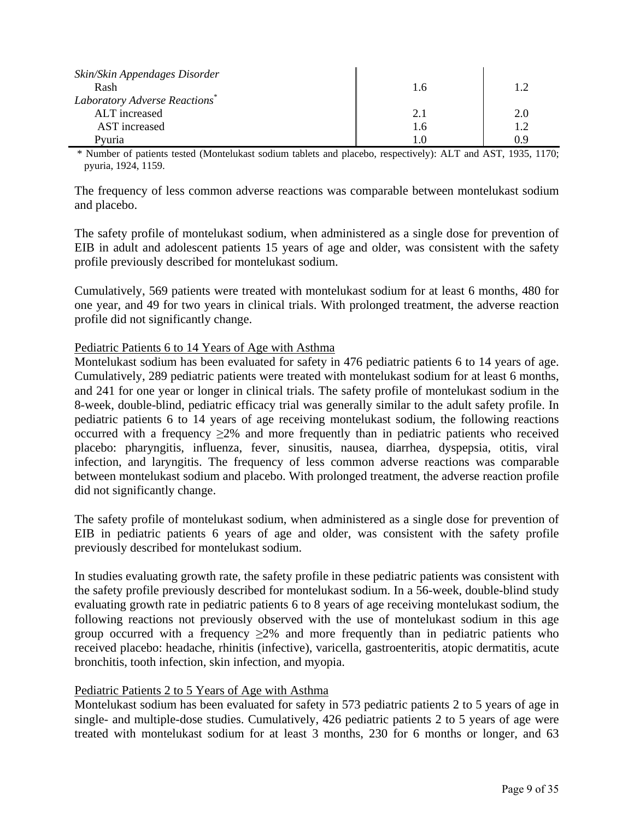| Skin/Skin Appendages Disorder<br>Rash     | l.o | 1.2 |
|-------------------------------------------|-----|-----|
| Laboratory Adverse Reactions <sup>*</sup> |     |     |
| ALT increased                             | 2.1 | 2.0 |
| AST increased                             |     | 1.2 |
| Pvuria                                    |     | ιq  |

 \* Number of patients tested (Montelukast sodium tablets and placebo, respectively): ALT and AST, 1935, 1170; pyuria, 1924, 1159.

The frequency of less common adverse reactions was comparable between montelukast sodium and placebo.

The safety profile of montelukast sodium, when administered as a single dose for prevention of EIB in adult and adolescent patients 15 years of age and older, was consistent with the safety profile previously described for montelukast sodium.

Cumulatively, 569 patients were treated with montelukast sodium for at least 6 months, 480 for one year, and 49 for two years in clinical trials. With prolonged treatment, the adverse reaction profile did not significantly change.

#### Pediatric Patients 6 to 14 Years of Age with Asthma

Montelukast sodium has been evaluated for safety in 476 pediatric patients 6 to 14 years of age. Cumulatively, 289 pediatric patients were treated with montelukast sodium for at least 6 months, and 241 for one year or longer in clinical trials. The safety profile of montelukast sodium in the 8-week, double-blind, pediatric efficacy trial was generally similar to the adult safety profile. In pediatric patients 6 to 14 years of age receiving montelukast sodium, the following reactions occurred with a frequency  $\geq 2\%$  and more frequently than in pediatric patients who received placebo: pharyngitis, influenza, fever, sinusitis, nausea, diarrhea, dyspepsia, otitis, viral infection, and laryngitis. The frequency of less common adverse reactions was comparable between montelukast sodium and placebo. With prolonged treatment, the adverse reaction profile did not significantly change.

The safety profile of montelukast sodium, when administered as a single dose for prevention of EIB in pediatric patients 6 years of age and older, was consistent with the safety profile previously described for montelukast sodium.

In studies evaluating growth rate, the safety profile in these pediatric patients was consistent with the safety profile previously described for montelukast sodium. In a 56-week, double-blind study evaluating growth rate in pediatric patients 6 to 8 years of age receiving montelukast sodium, the following reactions not previously observed with the use of montelukast sodium in this age group occurred with a frequency  $\geq 2\%$  and more frequently than in pediatric patients who received placebo: headache, rhinitis (infective), varicella, gastroenteritis, atopic dermatitis, acute bronchitis, tooth infection, skin infection, and myopia.

#### Pediatric Patients 2 to 5 Years of Age with Asthma

Montelukast sodium has been evaluated for safety in 573 pediatric patients 2 to 5 years of age in single- and multiple-dose studies. Cumulatively, 426 pediatric patients 2 to 5 years of age were treated with montelukast sodium for at least 3 months, 230 for 6 months or longer, and 63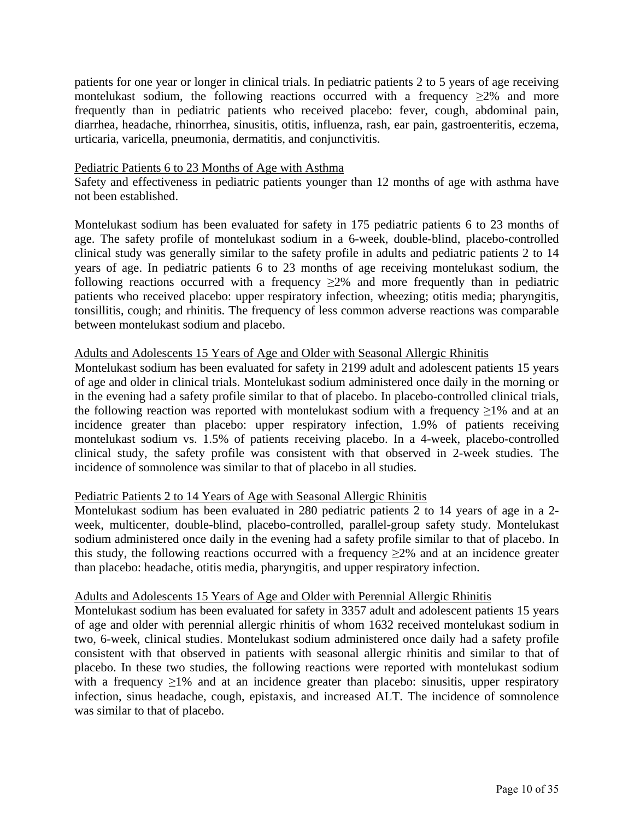patients for one year or longer in clinical trials. In pediatric patients 2 to 5 years of age receiving montelukast sodium, the following reactions occurred with a frequency  $\geq 2\%$  and more frequently than in pediatric patients who received placebo: fever, cough, abdominal pain, diarrhea, headache, rhinorrhea, sinusitis, otitis, influenza, rash, ear pain, gastroenteritis, eczema, urticaria, varicella, pneumonia, dermatitis, and conjunctivitis.

#### Pediatric Patients 6 to 23 Months of Age with Asthma

Safety and effectiveness in pediatric patients younger than 12 months of age with asthma have not been established.

Montelukast sodium has been evaluated for safety in 175 pediatric patients 6 to 23 months of age. The safety profile of montelukast sodium in a 6-week, double-blind, placebo-controlled clinical study was generally similar to the safety profile in adults and pediatric patients 2 to 14 years of age. In pediatric patients 6 to 23 months of age receiving montelukast sodium, the following reactions occurred with a frequency  $\geq 2\%$  and more frequently than in pediatric patients who received placebo: upper respiratory infection, wheezing; otitis media; pharyngitis, tonsillitis, cough; and rhinitis. The frequency of less common adverse reactions was comparable between montelukast sodium and placebo.

## Adults and Adolescents 15 Years of Age and Older with Seasonal Allergic Rhinitis

Montelukast sodium has been evaluated for safety in 2199 adult and adolescent patients 15 years of age and older in clinical trials. Montelukast sodium administered once daily in the morning or in the evening had a safety profile similar to that of placebo. In placebo-controlled clinical trials, the following reaction was reported with montelukast sodium with a frequency  $\geq$ 1% and at an incidence greater than placebo: upper respiratory infection, 1.9% of patients receiving montelukast sodium vs. 1.5% of patients receiving placebo. In a 4-week, placebo-controlled clinical study, the safety profile was consistent with that observed in 2-week studies. The incidence of somnolence was similar to that of placebo in all studies.

## Pediatric Patients 2 to 14 Years of Age with Seasonal Allergic Rhinitis

Montelukast sodium has been evaluated in 280 pediatric patients 2 to 14 years of age in a 2 week, multicenter, double-blind, placebo-controlled, parallel-group safety study. Montelukast sodium administered once daily in the evening had a safety profile similar to that of placebo. In this study, the following reactions occurred with a frequency  $\geq 2\%$  and at an incidence greater than placebo: headache, otitis media, pharyngitis, and upper respiratory infection.

#### Adults and Adolescents 15 Years of Age and Older with Perennial Allergic Rhinitis

Montelukast sodium has been evaluated for safety in 3357 adult and adolescent patients 15 years of age and older with perennial allergic rhinitis of whom 1632 received montelukast sodium in two, 6-week, clinical studies. Montelukast sodium administered once daily had a safety profile consistent with that observed in patients with seasonal allergic rhinitis and similar to that of placebo. In these two studies, the following reactions were reported with montelukast sodium with a frequency  $\geq$ 1% and at an incidence greater than placebo: sinusitis, upper respiratory infection, sinus headache, cough, epistaxis, and increased ALT. The incidence of somnolence was similar to that of placebo.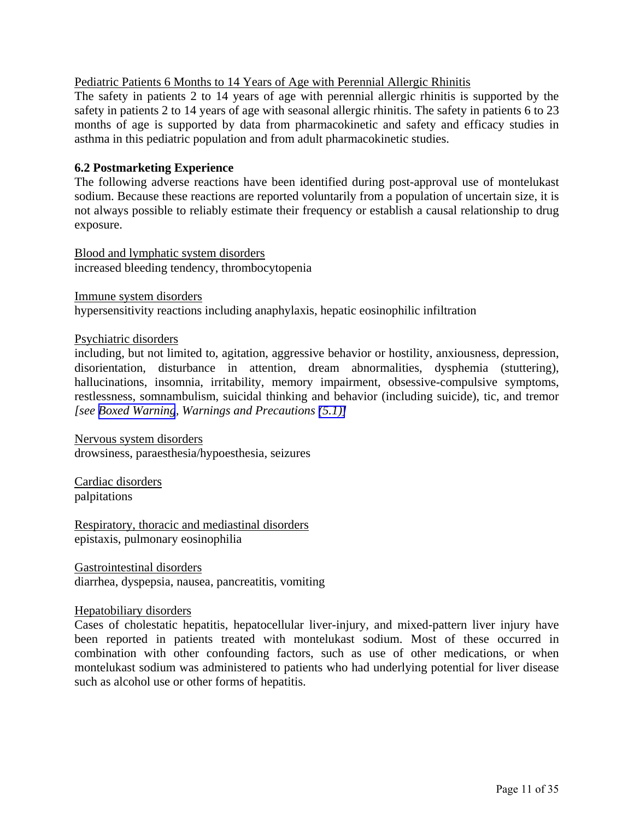## <span id="page-10-0"></span>Pediatric Patients 6 Months to 14 Years of Age with Perennial Allergic Rhinitis

The safety in patients 2 to 14 years of age with perennial allergic rhinitis is supported by the safety in patients 2 to 14 years of age with seasonal allergic rhinitis. The safety in patients 6 to 23 months of age is supported by data from pharmacokinetic and safety and efficacy studies in asthma in this pediatric population and from adult pharmacokinetic studies.

#### **6.2 Postmarketing Experience**

The following adverse reactions have been identified during post-approval use of montelukast sodium. Because these reactions are reported voluntarily from a population of uncertain size, it is not always possible to reliably estimate their frequency or establish a causal relationship to drug exposure.

Blood and lymphatic system disorders increased bleeding tendency, thrombocytopenia

Immune system disorders

hypersensitivity reactions including anaphylaxis, hepatic eosinophilic infiltration

#### Psychiatric disorders

including, but not limited to, agitation, aggressive behavior or hostility, anxiousness, depression, disorientation, disturbance in attention, dream abnormalities, dysphemia (stuttering), hallucinations, insomnia, irritability, memory impairment, obsessive-compulsive symptoms, restlessness, somnambulism, suicidal thinking and behavior (including suicide), tic, and tremor *[see [Boxed Warning](#page-2-4), Warnings and Precautions [\(5.1\)\]](#page-5-1)*

Nervous system disorders drowsiness, paraesthesia/hypoesthesia, seizures

Cardiac disorders palpitations

Respiratory, thoracic and mediastinal disorders epistaxis, pulmonary eosinophilia

Gastrointestinal disorders diarrhea, dyspepsia, nausea, pancreatitis, vomiting

#### Hepatobiliary disorders

Cases of cholestatic hepatitis, hepatocellular liver-injury, and mixed-pattern liver injury have been reported in patients treated with montelukast sodium. Most of these occurred in combination with other confounding factors, such as use of other medications, or when montelukast sodium was administered to patients who had underlying potential for liver disease such as alcohol use or other forms of hepatitis.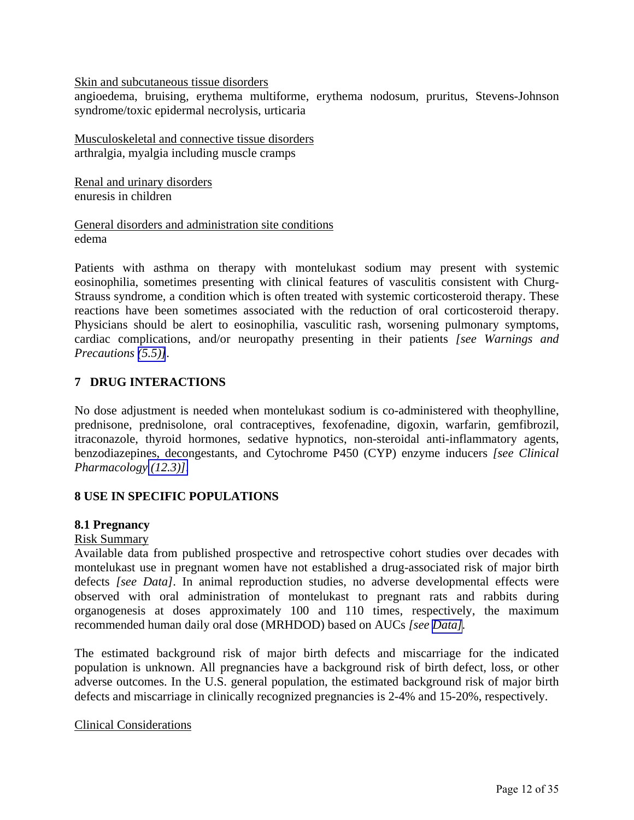<span id="page-11-0"></span>Skin and subcutaneous tissue disorders

angioedema, bruising, erythema multiforme, erythema nodosum, pruritus, Stevens-Johnson syndrome/toxic epidermal necrolysis, urticaria

Musculoskeletal and connective tissue disorders arthralgia, myalgia including muscle cramps

Renal and urinary disorders enuresis in children

General disorders and administration site conditions edema

Patients with asthma on therapy with montelukast sodium may present with systemic eosinophilia, sometimes presenting with clinical features of vasculitis consistent with Churg-Strauss syndrome, a condition which is often treated with systemic corticosteroid therapy. These reactions have been sometimes associated with the reduction of oral corticosteroid therapy. Physicians should be alert to eosinophilia, vasculitic rash, worsening pulmonary symptoms, cardiac complications, and/or neuropathy presenting in their patients *[see Warnings and Precautions [\(5.5\)\]](#page-6-0)*.

# **7 DRUG INTERACTIONS**

No dose adjustment is needed when montelukast sodium is co-administered with theophylline, prednisone, prednisolone, oral contraceptives, fexofenadine, digoxin, warfarin, gemfibrozil, itraconazole, thyroid hormones, sedative hypnotics, non-steroidal anti-inflammatory agents, benzodiazepines, decongestants, and Cytochrome P450 (CYP) enzyme inducers *[see Clinical Pharmacology [\(12.3\)\]](#page-16-2)*.

## **8 USE IN SPECIFIC POPULATIONS**

#### **8.1 Pregnancy**

#### Risk Summary

Available data from published prospective and retrospective cohort studies over decades with montelukast use in pregnant women have not established a drug-associated risk of major birth defects *[see Data]*. In animal reproduction studies, no adverse developmental effects were observed with oral administration of montelukast to pregnant rats and rabbits during organogenesis at doses approximately 100 and 110 times, respectively, the maximum recommended human daily oral dose (MRHDOD) based on AUCs *[see [Data\]](#page-12-0).* 

The estimated background risk of major birth defects and miscarriage for the indicated population is unknown. All pregnancies have a background risk of birth defect, loss, or other adverse outcomes. In the U.S. general population, the estimated background risk of major birth defects and miscarriage in clinically recognized pregnancies is 2-4% and 15-20%, respectively.

#### Clinical Considerations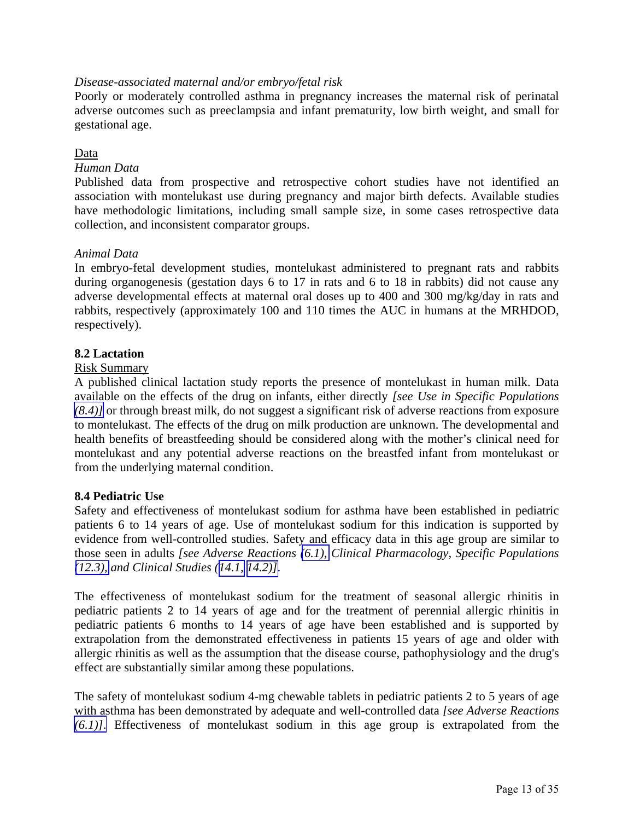## <span id="page-12-0"></span>*Disease-associated maternal and/or embryo/fetal risk*

Poorly or moderately controlled asthma in pregnancy increases the maternal risk of perinatal adverse outcomes such as preeclampsia and infant prematurity, low birth weight, and small for gestational age.

## Data

## *Human Data*

Published data from prospective and retrospective cohort studies have not identified an association with montelukast use during pregnancy and major birth defects. Available studies have methodologic limitations, including small sample size, in some cases retrospective data collection, and inconsistent comparator groups.

## *Animal Data*

In embryo-fetal development studies, montelukast administered to pregnant rats and rabbits during organogenesis (gestation days 6 to 17 in rats and 6 to 18 in rabbits) did not cause any adverse developmental effects at maternal oral doses up to 400 and 300 mg/kg/day in rats and rabbits, respectively (approximately 100 and 110 times the AUC in humans at the MRHDOD, respectively).

## **8.2 Lactation**

#### Risk Summary

A published clinical lactation study reports the presence of montelukast in human milk. Data available on the effects of the drug on infants, either directly *[see Use in Specific Populations [\(8.4\)\]](#page-12-0)* or through breast milk, do not suggest a significant risk of adverse reactions from exposure to montelukast. The effects of the drug on milk production are unknown. The developmental and health benefits of breastfeeding should be considered along with the mother's clinical need for montelukast and any potential adverse reactions on the breastfed infant from montelukast or from the underlying maternal condition.

## **8.4 Pediatric Use**

Safety and effectiveness of montelukast sodium for asthma have been established in pediatric patients 6 to 14 years of age. Use of montelukast sodium for this indication is supported by evidence from well-controlled studies. Safety and efficacy data in this age group are similar to those seen in adults *[see Adverse Reactions [\(6.1\),](#page-7-0) Clinical Pharmacology, Specific Populations [\(12.3\),](#page-16-0) and Clinical Studies ([14.1,](#page-21-0) [14.2\)\]](#page-24-1)*.

The effectiveness of montelukast sodium for the treatment of seasonal allergic rhinitis in pediatric patients 2 to 14 years of age and for the treatment of perennial allergic rhinitis in pediatric patients 6 months to 14 years of age have been established and is supported by extrapolation from the demonstrated effectiveness in patients 15 years of age and older with allergic rhinitis as well as the assumption that the disease course, pathophysiology and the drug's effect are substantially similar among these populations.

The safety of montelukast sodium 4-mg chewable tablets in pediatric patients 2 to 5 years of age with asthma has been demonstrated by adequate and well-controlled data *[see Adverse Reactions [\(6.1\)\]](#page-7-0)*. Effectiveness of montelukast sodium in this age group is extrapolated from the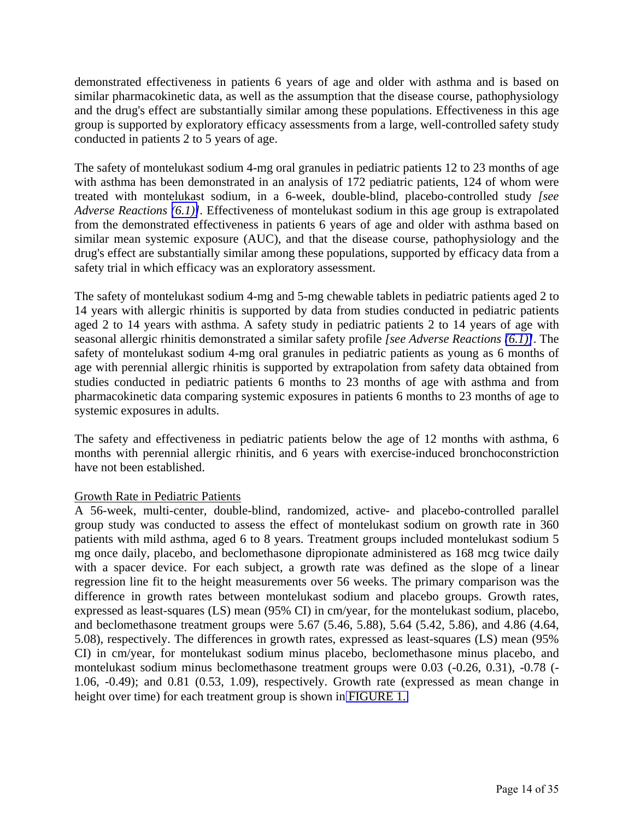demonstrated effectiveness in patients 6 years of age and older with asthma and is based on similar pharmacokinetic data, as well as the assumption that the disease course, pathophysiology and the drug's effect are substantially similar among these populations. Effectiveness in this age group is supported by exploratory efficacy assessments from a large, well-controlled safety study conducted in patients 2 to 5 years of age.

The safety of montelukast sodium 4-mg oral granules in pediatric patients 12 to 23 months of age with asthma has been demonstrated in an analysis of 172 pediatric patients, 124 of whom were treated with montelukast sodium, in a 6-week, double-blind, placebo-controlled study *[see Adverse Reactions [\(6.1\)\]](#page-7-0)*. Effectiveness of montelukast sodium in this age group is extrapolated from the demonstrated effectiveness in patients 6 years of age and older with asthma based on similar mean systemic exposure (AUC), and that the disease course, pathophysiology and the drug's effect are substantially similar among these populations, supported by efficacy data from a safety trial in which efficacy was an exploratory assessment.

The safety of montelukast sodium 4-mg and 5-mg chewable tablets in pediatric patients aged 2 to 14 years with allergic rhinitis is supported by data from studies conducted in pediatric patients aged 2 to 14 years with asthma. A safety study in pediatric patients 2 to 14 years of age with seasonal allergic rhinitis demonstrated a similar safety profile *[see Adverse Reactions [\(6.1\)\]](#page-7-0)*. The safety of montelukast sodium 4-mg oral granules in pediatric patients as young as 6 months of age with perennial allergic rhinitis is supported by extrapolation from safety data obtained from studies conducted in pediatric patients 6 months to 23 months of age with asthma and from pharmacokinetic data comparing systemic exposures in patients 6 months to 23 months of age to systemic exposures in adults.

The safety and effectiveness in pediatric patients below the age of 12 months with asthma, 6 months with perennial allergic rhinitis, and 6 years with exercise-induced bronchoconstriction have not been established.

#### Growth Rate in Pediatric Patients

A 56-week, multi-center, double-blind, randomized, active- and placebo-controlled parallel group study was conducted to assess the effect of montelukast sodium on growth rate in 360 patients with mild asthma, aged 6 to 8 years. Treatment groups included montelukast sodium 5 mg once daily, placebo, and beclomethasone dipropionate administered as 168 mcg twice daily with a spacer device. For each subject, a growth rate was defined as the slope of a linear regression line fit to the height measurements over 56 weeks. The primary comparison was the difference in growth rates between montelukast sodium and placebo groups. Growth rates, expressed as least-squares (LS) mean (95% CI) in cm/year, for the montelukast sodium, placebo, and beclomethasone treatment groups were 5.67 (5.46, 5.88), 5.64 (5.42, 5.86), and 4.86 (4.64, 5.08), respectively. The differences in growth rates, expressed as least-squares (LS) mean (95% CI) in cm/year, for montelukast sodium minus placebo, beclomethasone minus placebo, and montelukast sodium minus beclomethasone treatment groups were 0.03 (-0.26, 0.31), -0.78 (- 1.06, -0.49); and 0.81 (0.53, 1.09), respectively. Growth rate (expressed as mean change in height over time) for each treatment group is shown in [FIGURE 1.](#page-14-0)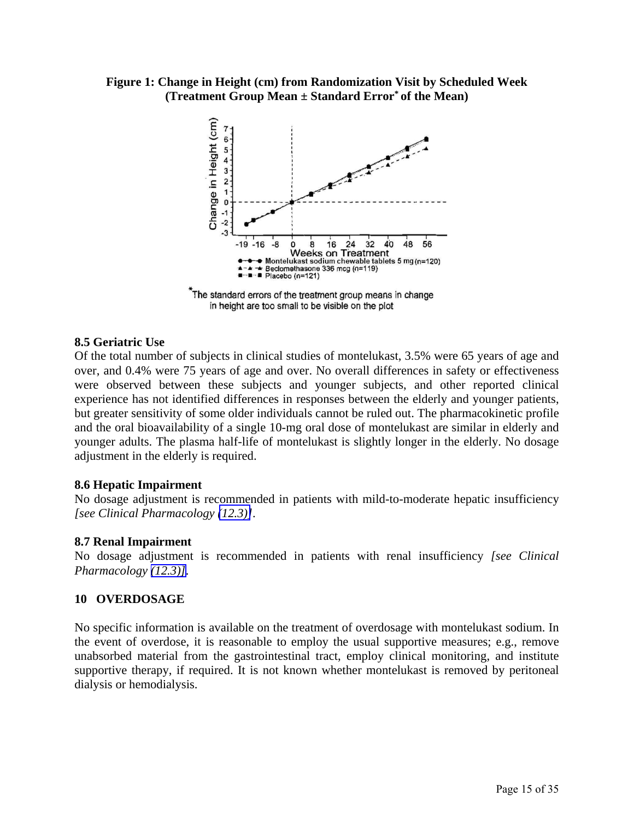<span id="page-14-1"></span><span id="page-14-0"></span>**Figure 1: Change in Height (cm) from Randomization Visit by Scheduled Week (Treatment Group Mean ± Standard Error\* of the Mean)** 



The standard errors of the treatment group means in change in height are too small to be visible on the plot

#### **8.5 Geriatric Use**

Of the total number of subjects in clinical studies of montelukast, 3.5% were 65 years of age and over, and 0.4% were 75 years of age and over. No overall differences in safety or effectiveness were observed between these subjects and younger subjects, and other reported clinical experience has not identified differences in responses between the elderly and younger patients, but greater sensitivity of some older individuals cannot be ruled out. The pharmacokinetic profile and the oral bioavailability of a single 10-mg oral dose of montelukast are similar in elderly and younger adults. The plasma half-life of montelukast is slightly longer in the elderly. No dosage adjustment in the elderly is required.

#### **8.6 Hepatic Impairment**

No dosage adjustment is recommended in patients with mild-to-moderate hepatic insufficiency *[see Clinical Pharmacology [\(12.3\)\]](#page-16-1)*.

#### **8.7 Renal Impairment**

No dosage adjustment is recommended in patients with renal insufficiency *[see Clinical Pharmacology [\(12.3\)\]](#page-16-1)*.

#### **10 OVERDOSAGE**

No specific information is available on the treatment of overdosage with montelukast sodium. In the event of overdose, it is reasonable to employ the usual supportive measures; e.g., remove unabsorbed material from the gastrointestinal tract, employ clinical monitoring, and institute supportive therapy, if required. It is not known whether montelukast is removed by peritoneal dialysis or hemodialysis.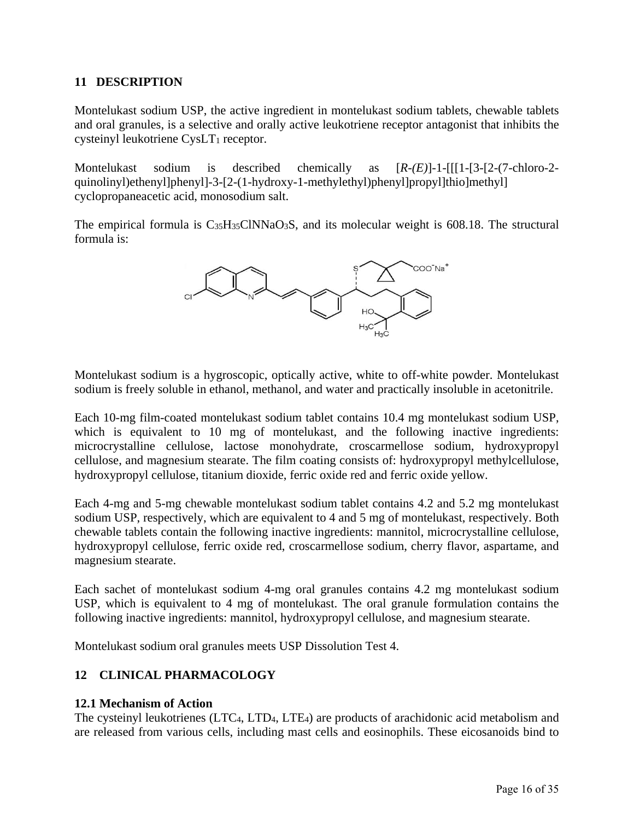## <span id="page-15-0"></span>**11 DESCRIPTION**

Montelukast sodium USP, the active ingredient in montelukast sodium tablets, chewable tablets and oral granules, is a selective and orally active leukotriene receptor antagonist that inhibits the cysteinyl leukotriene CysLT<sub>1</sub> receptor.

Montelukast sodium is described chemically as [*R-(E)*]-1-[[[1-[3-[2-(7-chloro-2 quinolinyl)ethenyl]phenyl]-3-[2-(1-hydroxy-1-methylethyl)phenyl]propyl]thio]methyl] cyclopropaneacetic acid, monosodium salt.

The empirical formula is  $C_{35}H_{35}CINNaO_3S$ , and its molecular weight is 608.18. The structural formula is:



Montelukast sodium is a hygroscopic, optically active, white to off-white powder. Montelukast sodium is freely soluble in ethanol, methanol, and water and practically insoluble in acetonitrile.

Each 10-mg film-coated montelukast sodium tablet contains 10.4 mg montelukast sodium USP, which is equivalent to 10 mg of montelukast, and the following inactive ingredients: microcrystalline cellulose, lactose monohydrate, croscarmellose sodium, hydroxypropyl cellulose, and magnesium stearate. The film coating consists of: hydroxypropyl methylcellulose, hydroxypropyl cellulose, titanium dioxide, ferric oxide red and ferric oxide yellow.

Each 4-mg and 5-mg chewable montelukast sodium tablet contains 4.2 and 5.2 mg montelukast sodium USP, respectively, which are equivalent to 4 and 5 mg of montelukast, respectively. Both chewable tablets contain the following inactive ingredients: mannitol, microcrystalline cellulose, hydroxypropyl cellulose, ferric oxide red, croscarmellose sodium, cherry flavor, aspartame, and magnesium stearate.

Each sachet of montelukast sodium 4-mg oral granules contains 4.2 mg montelukast sodium USP, which is equivalent to 4 mg of montelukast. The oral granule formulation contains the following inactive ingredients: mannitol, hydroxypropyl cellulose, and magnesium stearate.

Montelukast sodium oral granules meets USP Dissolution Test 4.

# **12 CLINICAL PHARMACOLOGY**

## **12.1 Mechanism of Action**

The cysteinyl leukotrienes (LTC4, LTD4, LTE4) are products of arachidonic acid metabolism and are released from various cells, including mast cells and eosinophils. These eicosanoids bind to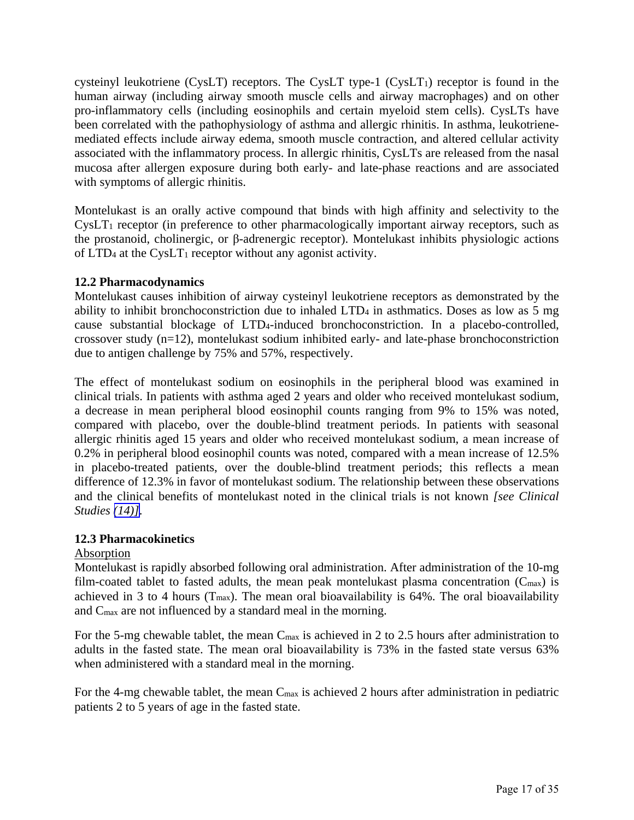<span id="page-16-2"></span><span id="page-16-1"></span><span id="page-16-0"></span>cysteinyl leukotriene (CysLT) receptors. The CysLT type-1 (CysLT<sub>1</sub>) receptor is found in the human airway (including airway smooth muscle cells and airway macrophages) and on other pro-inflammatory cells (including eosinophils and certain myeloid stem cells). CysLTs have been correlated with the pathophysiology of asthma and allergic rhinitis. In asthma, leukotrienemediated effects include airway edema, smooth muscle contraction, and altered cellular activity associated with the inflammatory process. In allergic rhinitis, CysLTs are released from the nasal mucosa after allergen exposure during both early- and late-phase reactions and are associated with symptoms of allergic rhinitis.

Montelukast is an orally active compound that binds with high affinity and selectivity to the  $CysLT<sub>1</sub>$  receptor (in preference to other pharmacologically important airway receptors, such as the prostanoid, cholinergic, or β-adrenergic receptor). Montelukast inhibits physiologic actions of  $LTD<sub>4</sub>$  at the Cys $LT<sub>1</sub>$  receptor without any agonist activity.

## **12.2 Pharmacodynamics**

Montelukast causes inhibition of airway cysteinyl leukotriene receptors as demonstrated by the ability to inhibit bronchoconstriction due to inhaled LTD4 in asthmatics. Doses as low as 5 mg cause substantial blockage of LTD4-induced bronchoconstriction. In a placebo-controlled, crossover study (n=12), montelukast sodium inhibited early- and late-phase bronchoconstriction due to antigen challenge by 75% and 57%, respectively.

The effect of montelukast sodium on eosinophils in the peripheral blood was examined in clinical trials. In patients with asthma aged 2 years and older who received montelukast sodium, a decrease in mean peripheral blood eosinophil counts ranging from 9% to 15% was noted, compared with placebo, over the double-blind treatment periods. In patients with seasonal allergic rhinitis aged 15 years and older who received montelukast sodium, a mean increase of 0.2% in peripheral blood eosinophil counts was noted, compared with a mean increase of 12.5% in placebo-treated patients, over the double-blind treatment periods; this reflects a mean difference of 12.3% in favor of montelukast sodium. The relationship between these observations and the clinical benefits of montelukast noted in the clinical trials is not known *[see Clinical Studies [\(14\)\]](#page-21-0)*.

## **12.3 Pharmacokinetics**

# Absorption

Montelukast is rapidly absorbed following oral administration. After administration of the 10-mg film-coated tablet to fasted adults, the mean peak montelukast plasma concentration  $(C_{\text{max}})$  is achieved in 3 to 4 hours ( $T_{\text{max}}$ ). The mean oral bioavailability is 64%. The oral bioavailability and Cmax are not influenced by a standard meal in the morning.

For the 5-mg chewable tablet, the mean  $C_{\text{max}}$  is achieved in 2 to 2.5 hours after administration to adults in the fasted state. The mean oral bioavailability is 73% in the fasted state versus 63% when administered with a standard meal in the morning.

For the 4-mg chewable tablet, the mean  $C_{\text{max}}$  is achieved 2 hours after administration in pediatric patients 2 to 5 years of age in the fasted state.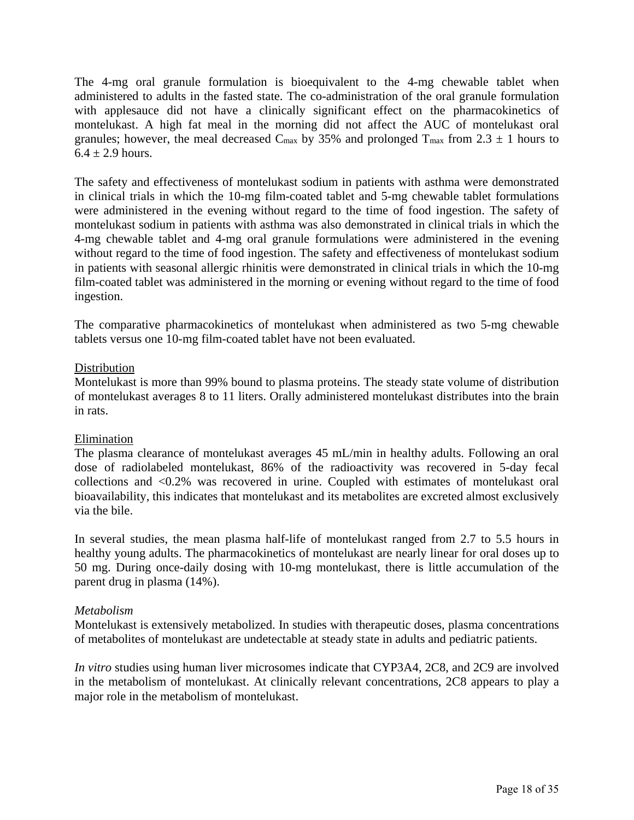The 4-mg oral granule formulation is bioequivalent to the 4-mg chewable tablet when administered to adults in the fasted state. The co-administration of the oral granule formulation with applesauce did not have a clinically significant effect on the pharmacokinetics of montelukast. A high fat meal in the morning did not affect the AUC of montelukast oral granules; however, the meal decreased C<sub>max</sub> by 35% and prolonged T<sub>max</sub> from 2.3  $\pm$  1 hours to  $6.4 \pm 2.9$  hours.

The safety and effectiveness of montelukast sodium in patients with asthma were demonstrated in clinical trials in which the 10-mg film-coated tablet and 5-mg chewable tablet formulations were administered in the evening without regard to the time of food ingestion. The safety of montelukast sodium in patients with asthma was also demonstrated in clinical trials in which the 4-mg chewable tablet and 4-mg oral granule formulations were administered in the evening without regard to the time of food ingestion. The safety and effectiveness of montelukast sodium in patients with seasonal allergic rhinitis were demonstrated in clinical trials in which the 10-mg film-coated tablet was administered in the morning or evening without regard to the time of food ingestion.

The comparative pharmacokinetics of montelukast when administered as two 5-mg chewable tablets versus one 10-mg film-coated tablet have not been evaluated.

## **Distribution**

Montelukast is more than 99% bound to plasma proteins. The steady state volume of distribution of montelukast averages 8 to 11 liters. Orally administered montelukast distributes into the brain in rats.

# Elimination

The plasma clearance of montelukast averages 45 mL/min in healthy adults. Following an oral dose of radiolabeled montelukast, 86% of the radioactivity was recovered in 5-day fecal collections and <0.2% was recovered in urine. Coupled with estimates of montelukast oral bioavailability, this indicates that montelukast and its metabolites are excreted almost exclusively via the bile.

In several studies, the mean plasma half-life of montelukast ranged from 2.7 to 5.5 hours in healthy young adults. The pharmacokinetics of montelukast are nearly linear for oral doses up to 50 mg. During once-daily dosing with 10-mg montelukast, there is little accumulation of the parent drug in plasma (14%).

# *Metabolism*

Montelukast is extensively metabolized. In studies with therapeutic doses, plasma concentrations of metabolites of montelukast are undetectable at steady state in adults and pediatric patients.

*In vitro* studies using human liver microsomes indicate that CYP3A4, 2C8, and 2C9 are involved in the metabolism of montelukast. At clinically relevant concentrations, 2C8 appears to play a major role in the metabolism of montelukast.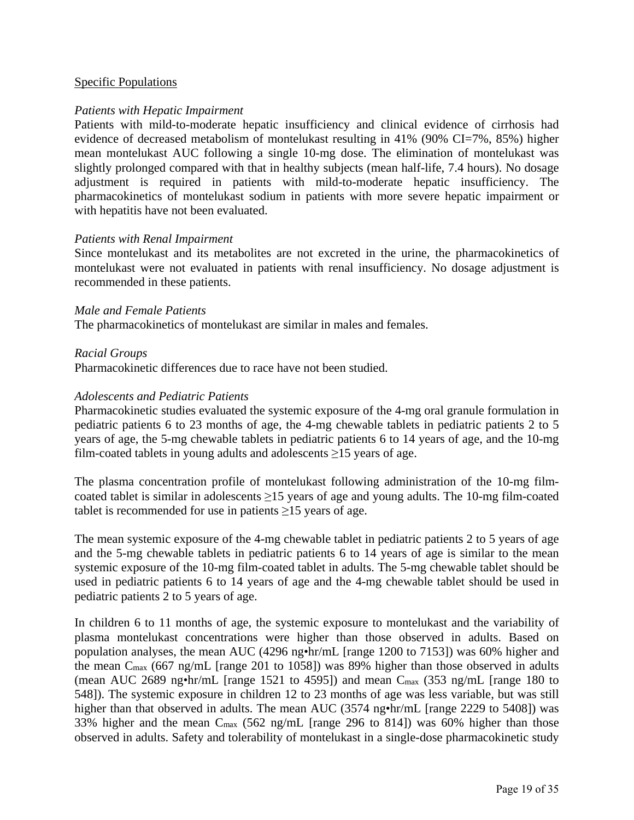## Specific Populations

## *Patients with Hepatic Impairment*

Patients with mild-to-moderate hepatic insufficiency and clinical evidence of cirrhosis had evidence of decreased metabolism of montelukast resulting in 41% (90% CI=7%, 85%) higher mean montelukast AUC following a single 10-mg dose. The elimination of montelukast was slightly prolonged compared with that in healthy subjects (mean half-life, 7.4 hours). No dosage adjustment is required in patients with mild-to-moderate hepatic insufficiency. The pharmacokinetics of montelukast sodium in patients with more severe hepatic impairment or with hepatitis have not been evaluated.

## *Patients with Renal Impairment*

Since montelukast and its metabolites are not excreted in the urine, the pharmacokinetics of montelukast were not evaluated in patients with renal insufficiency. No dosage adjustment is recommended in these patients.

#### *Male and Female Patients*

The pharmacokinetics of montelukast are similar in males and females.

#### *Racial Groups*

Pharmacokinetic differences due to race have not been studied.

#### *Adolescents and Pediatric Patients*

Pharmacokinetic studies evaluated the systemic exposure of the 4-mg oral granule formulation in pediatric patients 6 to 23 months of age, the 4-mg chewable tablets in pediatric patients 2 to 5 years of age, the 5-mg chewable tablets in pediatric patients 6 to 14 years of age, and the 10-mg film-coated tablets in young adults and adolescents  $\geq$ 15 years of age.

The plasma concentration profile of montelukast following administration of the 10-mg filmcoated tablet is similar in adolescents  $\geq$ 15 years of age and young adults. The 10-mg film-coated tablet is recommended for use in patients  $\geq$ 15 years of age.

The mean systemic exposure of the 4-mg chewable tablet in pediatric patients 2 to 5 years of age and the 5-mg chewable tablets in pediatric patients 6 to 14 years of age is similar to the mean systemic exposure of the 10-mg film-coated tablet in adults. The 5-mg chewable tablet should be used in pediatric patients 6 to 14 years of age and the 4-mg chewable tablet should be used in pediatric patients 2 to 5 years of age.

In children 6 to 11 months of age, the systemic exposure to montelukast and the variability of plasma montelukast concentrations were higher than those observed in adults. Based on population analyses, the mean AUC (4296 ng•hr/mL [range 1200 to 7153]) was 60% higher and the mean  $C_{\text{max}}$  (667 ng/mL [range 201 to 1058]) was 89% higher than those observed in adults (mean AUC 2689 ng•hr/mL [range 1521 to 4595]) and mean  $C_{\text{max}}$  (353 ng/mL [range 180 to 548]). The systemic exposure in children 12 to 23 months of age was less variable, but was still higher than that observed in adults. The mean AUC (3574 ng•hr/mL [range 2229 to 5408]) was 33% higher and the mean Cmax (562 ng/mL [range 296 to 814]) was 60% higher than those observed in adults. Safety and tolerability of montelukast in a single-dose pharmacokinetic study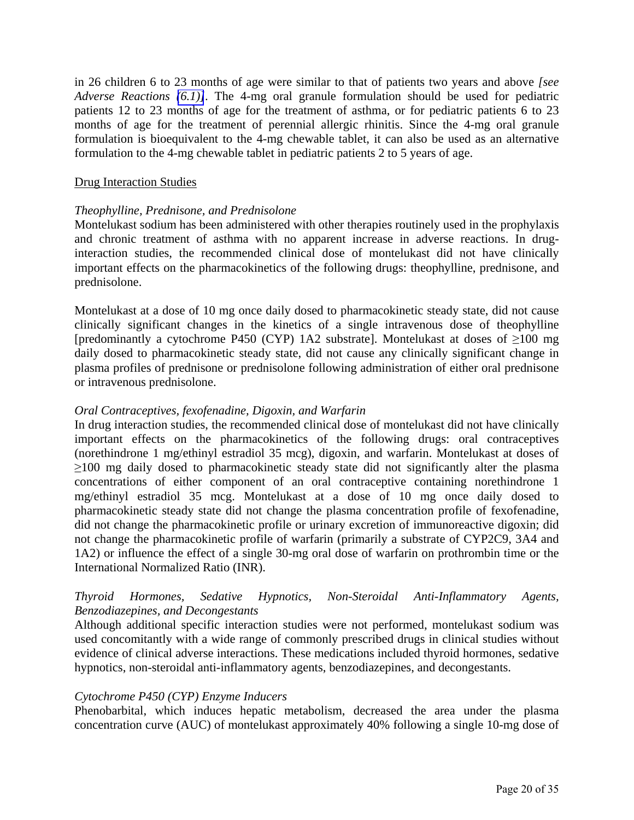in 26 children 6 to 23 months of age were similar to that of patients two years and above *[see Adverse Reactions [\(6.1\)\]](#page-7-0)*. The 4-mg oral granule formulation should be used for pediatric patients 12 to 23 months of age for the treatment of asthma, or for pediatric patients 6 to 23 months of age for the treatment of perennial allergic rhinitis. Since the 4-mg oral granule formulation is bioequivalent to the 4-mg chewable tablet, it can also be used as an alternative formulation to the 4-mg chewable tablet in pediatric patients 2 to 5 years of age.

#### Drug Interaction Studies

#### *Theophylline, Prednisone, and Prednisolone*

Montelukast sodium has been administered with other therapies routinely used in the prophylaxis and chronic treatment of asthma with no apparent increase in adverse reactions. In druginteraction studies, the recommended clinical dose of montelukast did not have clinically important effects on the pharmacokinetics of the following drugs: theophylline, prednisone, and prednisolone.

Montelukast at a dose of 10 mg once daily dosed to pharmacokinetic steady state, did not cause clinically significant changes in the kinetics of a single intravenous dose of theophylline [predominantly a cytochrome P450 (CYP) 1A2 substrate]. Montelukast at doses of ≥100 mg daily dosed to pharmacokinetic steady state, did not cause any clinically significant change in plasma profiles of prednisone or prednisolone following administration of either oral prednisone or intravenous prednisolone.

#### *Oral Contraceptives, fexofenadine, Digoxin, and Warfarin*

In drug interaction studies, the recommended clinical dose of montelukast did not have clinically important effects on the pharmacokinetics of the following drugs: oral contraceptives (norethindrone 1 mg/ethinyl estradiol 35 mcg), digoxin, and warfarin. Montelukast at doses of ≥100 mg daily dosed to pharmacokinetic steady state did not significantly alter the plasma concentrations of either component of an oral contraceptive containing norethindrone 1 mg/ethinyl estradiol 35 mcg. Montelukast at a dose of 10 mg once daily dosed to pharmacokinetic steady state did not change the plasma concentration profile of fexofenadine, did not change the pharmacokinetic profile or urinary excretion of immunoreactive digoxin; did not change the pharmacokinetic profile of warfarin (primarily a substrate of CYP2C9, 3A4 and 1A2) or influence the effect of a single 30-mg oral dose of warfarin on prothrombin time or the International Normalized Ratio (INR).

## *Thyroid Hormones, Sedative Hypnotics, Non-Steroidal Anti-Inflammatory Agents, Benzodiazepines, and Decongestants*

Although additional specific interaction studies were not performed, montelukast sodium was used concomitantly with a wide range of commonly prescribed drugs in clinical studies without evidence of clinical adverse interactions. These medications included thyroid hormones, sedative hypnotics, non-steroidal anti-inflammatory agents, benzodiazepines, and decongestants.

## *Cytochrome P450 (CYP) Enzyme Inducers*

Phenobarbital, which induces hepatic metabolism, decreased the area under the plasma concentration curve (AUC) of montelukast approximately 40% following a single 10-mg dose of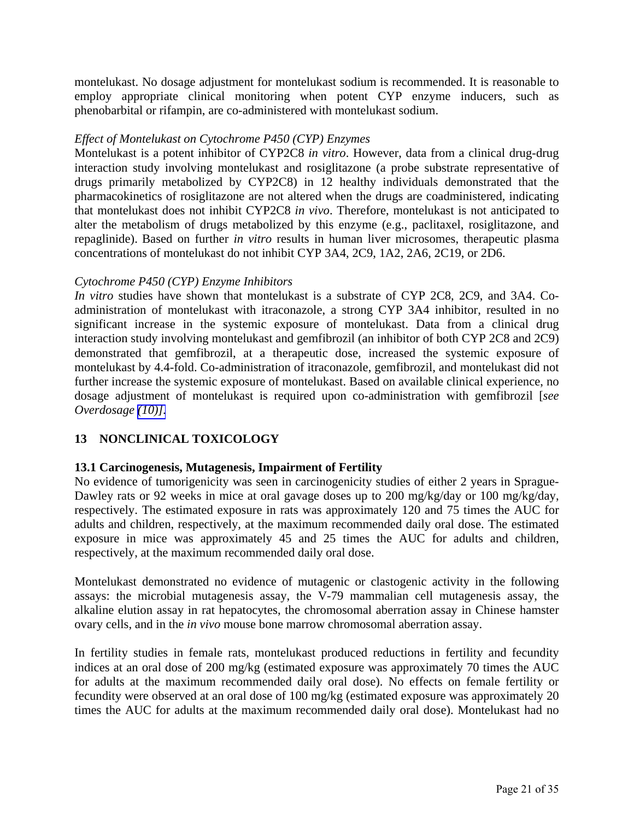<span id="page-20-0"></span>montelukast. No dosage adjustment for montelukast sodium is recommended. It is reasonable to employ appropriate clinical monitoring when potent CYP enzyme inducers, such as phenobarbital or rifampin, are co-administered with montelukast sodium.

#### *Effect of Montelukast on Cytochrome P450 (CYP) Enzymes*

Montelukast is a potent inhibitor of CYP2C8 *in vitro*. However, data from a clinical drug-drug interaction study involving montelukast and rosiglitazone (a probe substrate representative of drugs primarily metabolized by CYP2C8) in 12 healthy individuals demonstrated that the pharmacokinetics of rosiglitazone are not altered when the drugs are coadministered, indicating that montelukast does not inhibit CYP2C8 *in vivo*. Therefore, montelukast is not anticipated to alter the metabolism of drugs metabolized by this enzyme (e.g., paclitaxel, rosiglitazone, and repaglinide). Based on further *in vitro* results in human liver microsomes, therapeutic plasma concentrations of montelukast do not inhibit CYP 3A4, 2C9, 1A2, 2A6, 2C19, or 2D6.

#### *Cytochrome P450 (CYP) Enzyme Inhibitors*

*In vitro* studies have shown that montelukast is a substrate of CYP 2C8, 2C9, and 3A4. Coadministration of montelukast with itraconazole, a strong CYP 3A4 inhibitor, resulted in no significant increase in the systemic exposure of montelukast. Data from a clinical drug interaction study involving montelukast and gemfibrozil (an inhibitor of both CYP 2C8 and 2C9) demonstrated that gemfibrozil, at a therapeutic dose, increased the systemic exposure of montelukast by 4.4-fold. Co-administration of itraconazole, gemfibrozil, and montelukast did not further increase the systemic exposure of montelukast. Based on available clinical experience, no dosage adjustment of montelukast is required upon co-administration with gemfibrozil [*see Overdosage [\(10\)\].](#page-14-0)*

# **13 NONCLINICAL TOXICOLOGY**

## **13.1 Carcinogenesis, Mutagenesis, Impairment of Fertility**

No evidence of tumorigenicity was seen in carcinogenicity studies of either 2 years in Sprague-Dawley rats or 92 weeks in mice at oral gavage doses up to 200 mg/kg/day or 100 mg/kg/day, respectively. The estimated exposure in rats was approximately 120 and 75 times the AUC for adults and children, respectively, at the maximum recommended daily oral dose. The estimated exposure in mice was approximately 45 and 25 times the AUC for adults and children, respectively, at the maximum recommended daily oral dose.

Montelukast demonstrated no evidence of mutagenic or clastogenic activity in the following assays: the microbial mutagenesis assay, the V-79 mammalian cell mutagenesis assay, the alkaline elution assay in rat hepatocytes, the chromosomal aberration assay in Chinese hamster ovary cells, and in the *in vivo* mouse bone marrow chromosomal aberration assay.

In fertility studies in female rats, montelukast produced reductions in fertility and fecundity indices at an oral dose of 200 mg/kg (estimated exposure was approximately 70 times the AUC for adults at the maximum recommended daily oral dose). No effects on female fertility or fecundity were observed at an oral dose of 100 mg/kg (estimated exposure was approximately 20 times the AUC for adults at the maximum recommended daily oral dose). Montelukast had no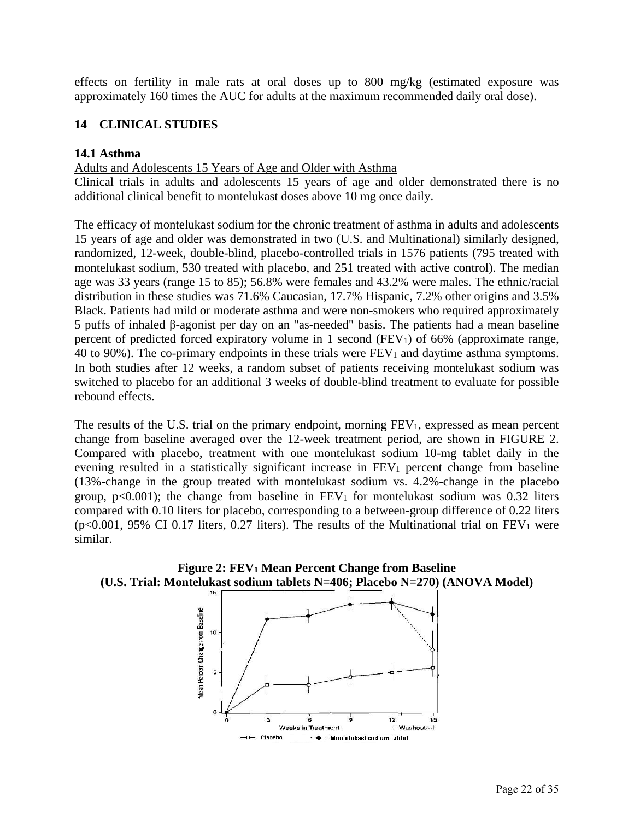<span id="page-21-0"></span>effects on fertility in male rats at oral doses up to 800 mg/kg (estimated exposure was approximately 160 times the AUC for adults at the maximum recommended daily oral dose).

# **14 CLINICAL STUDIES**

## **14.1 Asthma**

## Adults and Adolescents 15 Years of Age and Older with Asthma

Clinical trials in adults and adolescents 15 years of age and older demonstrated there is no additional clinical benefit to montelukast doses above 10 mg once daily.

The efficacy of montelukast sodium for the chronic treatment of asthma in adults and adolescents 15 years of age and older was demonstrated in two (U.S. and Multinational) similarly designed, randomized, 12-week, double-blind, placebo-controlled trials in 1576 patients (795 treated with montelukast sodium, 530 treated with placebo, and 251 treated with active control). The median age was 33 years (range 15 to 85); 56.8% were females and 43.2% were males. The ethnic/racial distribution in these studies was 71.6% Caucasian, 17.7% Hispanic, 7.2% other origins and 3.5% Black. Patients had mild or moderate asthma and were non-smokers who required approximately 5 puffs of inhaled β-agonist per day on an "as-needed" basis. The patients had a mean baseline percent of predicted forced expiratory volume in 1 second (FEV1) of 66% (approximate range, 40 to 90%). The co-primary endpoints in these trials were  $FEV<sub>1</sub>$  and daytime asthma symptoms. In both studies after 12 weeks, a random subset of patients receiving montelukast sodium was switched to placebo for an additional 3 weeks of double-blind treatment to evaluate for possible rebound effects.

The results of the U.S. trial on the primary endpoint, morning FEV<sub>1</sub>, expressed as mean percent change from baseline averaged over the 12-week treatment period, are shown in FIGURE 2. Compared with placebo, treatment with one montelukast sodium 10-mg tablet daily in the evening resulted in a statistically significant increase in FEV<sub>1</sub> percent change from baseline (13%-change in the group treated with montelukast sodium vs. 4.2%-change in the placebo group,  $p<0.001$ ; the change from baseline in  $FEV<sub>1</sub>$  for montelukast sodium was 0.32 liters compared with 0.10 liters for placebo, corresponding to a between-group difference of 0.22 liters  $(p<0.001, 95\%$  CI 0.17 liters, 0.27 liters). The results of the Multinational trial on FEV<sub>1</sub> were similar.



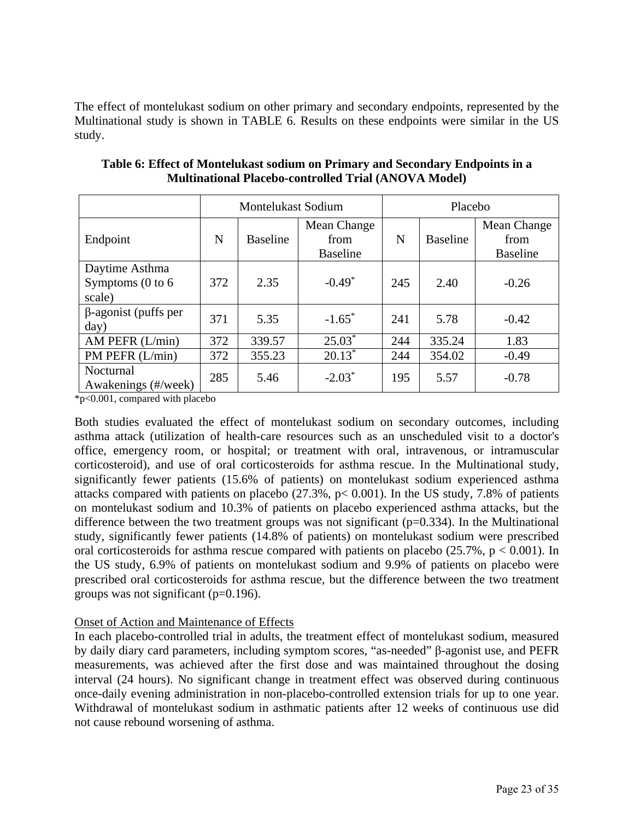The effect of montelukast sodium on other primary and secondary endpoints, represented by the Multinational study is shown in TABLE 6. Results on these endpoints were similar in the US study.

|                                                          | <b>Montelukast Sodium</b> |                 | Placebo                                |     |                 |                                        |
|----------------------------------------------------------|---------------------------|-----------------|----------------------------------------|-----|-----------------|----------------------------------------|
| Endpoint                                                 | N                         | <b>Baseline</b> | Mean Change<br>from<br><b>Baseline</b> | N   | <b>Baseline</b> | Mean Change<br>from<br><b>Baseline</b> |
| Daytime Asthma<br>Symptoms $(0 \text{ to } 6)$<br>scale) | 372                       | 2.35            | $-0.49*$                               | 245 | 2.40            | $-0.26$                                |
| $\beta$ -agonist (puffs per<br>day)                      | 371                       | 5.35            | $-1.65^*$                              | 241 | 5.78            | $-0.42$                                |
| AM PEFR (L/min)                                          | 372                       | 339.57          | $25.03*$                               | 244 | 335.24          | 1.83                                   |
| $PM$ PEFR $(L/min)$                                      | 372                       | 355.23          | $20.13*$                               | 244 | 354.02          | $-0.49$                                |
| Nocturnal<br>Awakenings (#/week)                         | 285                       | 5.46            | $-2.03*$                               | 195 | 5.57            | $-0.78$                                |

**Table 6: Effect of Montelukast sodium on Primary and Secondary Endpoints in a Multinational Placebo-controlled Trial (ANOVA Model)** 

\*p<0.001, compared with placebo

Both studies evaluated the effect of montelukast sodium on secondary outcomes, including asthma attack (utilization of health-care resources such as an unscheduled visit to a doctor's office, emergency room, or hospital; or treatment with oral, intravenous, or intramuscular corticosteroid), and use of oral corticosteroids for asthma rescue. In the Multinational study, significantly fewer patients (15.6% of patients) on montelukast sodium experienced asthma attacks compared with patients on placebo  $(27.3\%, p< 0.001)$ . In the US study, 7.8% of patients on montelukast sodium and 10.3% of patients on placebo experienced asthma attacks, but the difference between the two treatment groups was not significant  $(p=0.334)$ . In the Multinational study, significantly fewer patients (14.8% of patients) on montelukast sodium were prescribed oral corticosteroids for asthma rescue compared with patients on placebo  $(25.7\% , p < 0.001)$ . In the US study, 6.9% of patients on montelukast sodium and 9.9% of patients on placebo were prescribed oral corticosteroids for asthma rescue, but the difference between the two treatment groups was not significant (p=0.196).

# Onset of Action and Maintenance of Effects

In each placebo-controlled trial in adults, the treatment effect of montelukast sodium, measured by daily diary card parameters, including symptom scores, "as-needed" β-agonist use, and PEFR measurements, was achieved after the first dose and was maintained throughout the dosing interval (24 hours). No significant change in treatment effect was observed during continuous once-daily evening administration in non-placebo-controlled extension trials for up to one year. Withdrawal of montelukast sodium in asthmatic patients after 12 weeks of continuous use did not cause rebound worsening of asthma.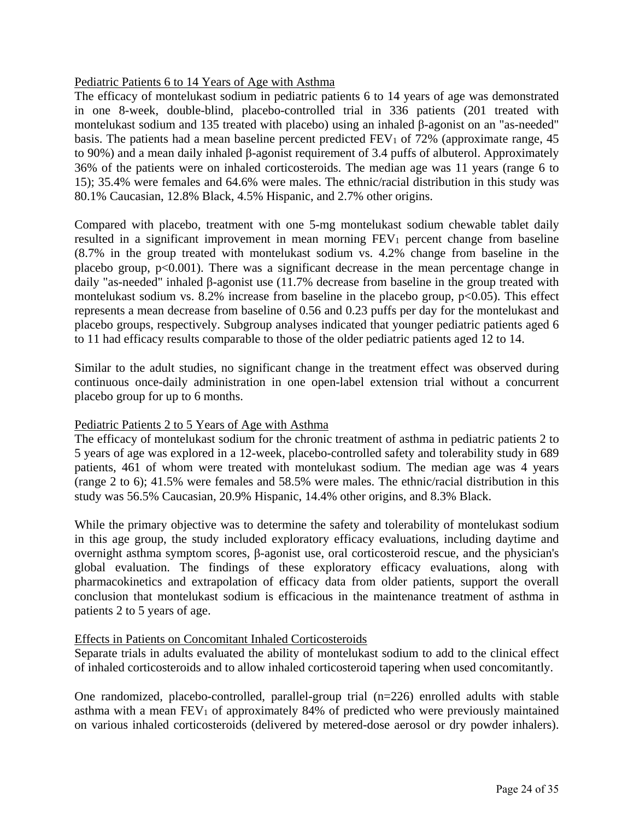## Pediatric Patients 6 to 14 Years of Age with Asthma

The efficacy of montelukast sodium in pediatric patients 6 to 14 years of age was demonstrated in one 8-week, double-blind, placebo-controlled trial in 336 patients (201 treated with montelukast sodium and 135 treated with placebo) using an inhaled β-agonist on an "as-needed" basis. The patients had a mean baseline percent predicted  $FEV<sub>1</sub>$  of 72% (approximate range, 45 to 90%) and a mean daily inhaled β-agonist requirement of 3.4 puffs of albuterol. Approximately 36% of the patients were on inhaled corticosteroids. The median age was 11 years (range 6 to 15); 35.4% were females and 64.6% were males. The ethnic/racial distribution in this study was 80.1% Caucasian, 12.8% Black, 4.5% Hispanic, and 2.7% other origins.

Compared with placebo, treatment with one 5-mg montelukast sodium chewable tablet daily resulted in a significant improvement in mean morning  $FEV<sub>1</sub>$  percent change from baseline (8.7% in the group treated with montelukast sodium vs. 4.2% change from baseline in the placebo group,  $p<0.001$ ). There was a significant decrease in the mean percentage change in daily "as-needed" inhaled β-agonist use (11.7% decrease from baseline in the group treated with montelukast sodium vs. 8.2% increase from baseline in the placebo group,  $p<0.05$ ). This effect represents a mean decrease from baseline of 0.56 and 0.23 puffs per day for the montelukast and placebo groups, respectively. Subgroup analyses indicated that younger pediatric patients aged 6 to 11 had efficacy results comparable to those of the older pediatric patients aged 12 to 14.

Similar to the adult studies, no significant change in the treatment effect was observed during continuous once-daily administration in one open-label extension trial without a concurrent placebo group for up to 6 months.

## Pediatric Patients 2 to 5 Years of Age with Asthma

The efficacy of montelukast sodium for the chronic treatment of asthma in pediatric patients 2 to 5 years of age was explored in a 12-week, placebo-controlled safety and tolerability study in 689 patients, 461 of whom were treated with montelukast sodium. The median age was 4 years (range 2 to 6); 41.5% were females and 58.5% were males. The ethnic/racial distribution in this study was 56.5% Caucasian, 20.9% Hispanic, 14.4% other origins, and 8.3% Black.

While the primary objective was to determine the safety and tolerability of montelukast sodium in this age group, the study included exploratory efficacy evaluations, including daytime and overnight asthma symptom scores, β-agonist use, oral corticosteroid rescue, and the physician's global evaluation. The findings of these exploratory efficacy evaluations, along with pharmacokinetics and extrapolation of efficacy data from older patients, support the overall conclusion that montelukast sodium is efficacious in the maintenance treatment of asthma in patients 2 to 5 years of age.

## Effects in Patients on Concomitant Inhaled Corticosteroids

Separate trials in adults evaluated the ability of montelukast sodium to add to the clinical effect of inhaled corticosteroids and to allow inhaled corticosteroid tapering when used concomitantly.

One randomized, placebo-controlled, parallel-group trial (n=226) enrolled adults with stable asthma with a mean FEV<sub>1</sub> of approximately 84% of predicted who were previously maintained on various inhaled corticosteroids (delivered by metered-dose aerosol or dry powder inhalers).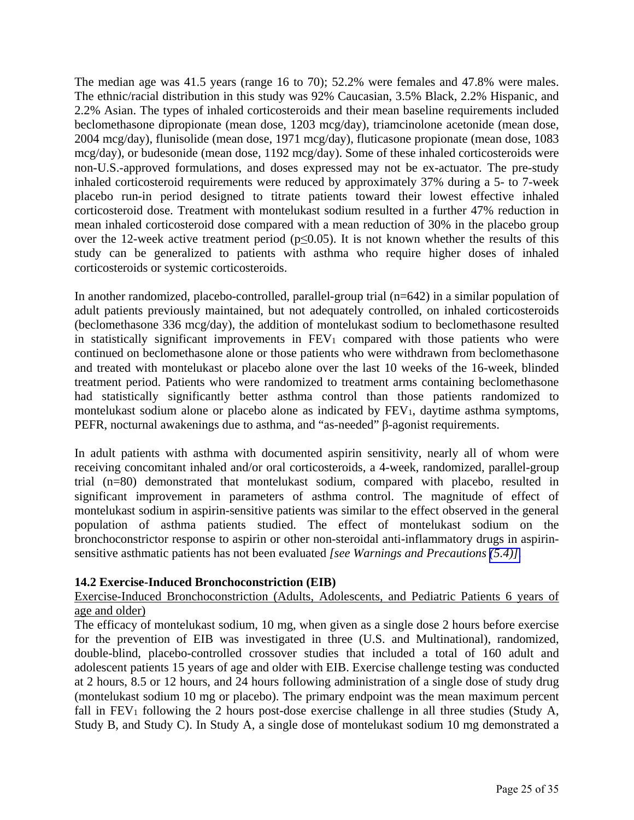<span id="page-24-1"></span><span id="page-24-0"></span>The median age was 41.5 years (range 16 to 70); 52.2% were females and 47.8% were males. The ethnic/racial distribution in this study was 92% Caucasian, 3.5% Black, 2.2% Hispanic, and 2.2% Asian. The types of inhaled corticosteroids and their mean baseline requirements included beclomethasone dipropionate (mean dose, 1203 mcg/day), triamcinolone acetonide (mean dose, 2004 mcg/day), flunisolide (mean dose, 1971 mcg/day), fluticasone propionate (mean dose, 1083 mcg/day), or budesonide (mean dose, 1192 mcg/day). Some of these inhaled corticosteroids were non-U.S.-approved formulations, and doses expressed may not be ex-actuator. The pre-study inhaled corticosteroid requirements were reduced by approximately 37% during a 5- to 7-week placebo run-in period designed to titrate patients toward their lowest effective inhaled corticosteroid dose. Treatment with montelukast sodium resulted in a further 47% reduction in mean inhaled corticosteroid dose compared with a mean reduction of 30% in the placebo group over the 12-week active treatment period ( $p \le 0.05$ ). It is not known whether the results of this study can be generalized to patients with asthma who require higher doses of inhaled corticosteroids or systemic corticosteroids.

In another randomized, placebo-controlled, parallel-group trial (n=642) in a similar population of adult patients previously maintained, but not adequately controlled, on inhaled corticosteroids (beclomethasone 336 mcg/day), the addition of montelukast sodium to beclomethasone resulted in statistically significant improvements in FEV<sub>1</sub> compared with those patients who were continued on beclomethasone alone or those patients who were withdrawn from beclomethasone and treated with montelukast or placebo alone over the last 10 weeks of the 16-week, blinded treatment period. Patients who were randomized to treatment arms containing beclomethasone had statistically significantly better asthma control than those patients randomized to montelukast sodium alone or placebo alone as indicated by FEV1, daytime asthma symptoms, PEFR, nocturnal awakenings due to asthma, and "as-needed" β-agonist requirements.

In adult patients with asthma with documented aspirin sensitivity, nearly all of whom were receiving concomitant inhaled and/or oral corticosteroids, a 4-week, randomized, parallel-group trial (n=80) demonstrated that montelukast sodium, compared with placebo, resulted in significant improvement in parameters of asthma control. The magnitude of effect of montelukast sodium in aspirin-sensitive patients was similar to the effect observed in the general population of asthma patients studied. The effect of montelukast sodium on the bronchoconstrictor response to aspirin or other non-steroidal anti-inflammatory drugs in aspirinsensitive asthmatic patients has not been evaluated *[see Warnings and Precautions [\(5.4\)\]](#page-6-2)*.

## **14.2 Exercise-Induced Bronchoconstriction (EIB)**

## Exercise-Induced Bronchoconstriction (Adults, Adolescents, and Pediatric Patients 6 years of age and older)

The efficacy of montelukast sodium, 10 mg, when given as a single dose 2 hours before exercise for the prevention of EIB was investigated in three (U.S. and Multinational), randomized, double-blind, placebo-controlled crossover studies that included a total of 160 adult and adolescent patients 15 years of age and older with EIB. Exercise challenge testing was conducted at 2 hours, 8.5 or 12 hours, and 24 hours following administration of a single dose of study drug (montelukast sodium 10 mg or placebo). The primary endpoint was the mean maximum percent fall in  $FEV<sub>1</sub>$  following the 2 hours post-dose exercise challenge in all three studies (Study A, Study B, and Study C). In Study A, a single dose of montelukast sodium 10 mg demonstrated a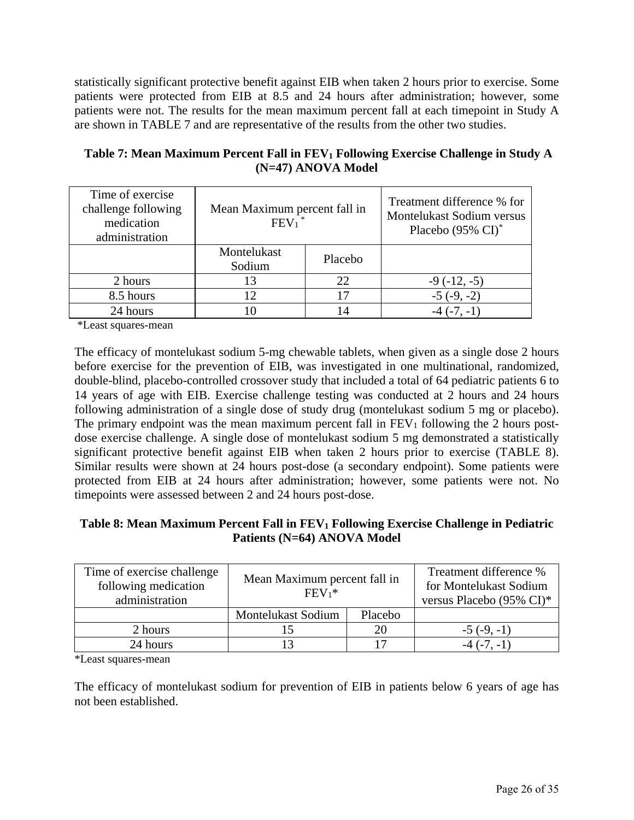statistically significant protective benefit against EIB when taken 2 hours prior to exercise. Some patients were protected from EIB at 8.5 and 24 hours after administration; however, some patients were not. The results for the mean maximum percent fall at each timepoint in Study A are shown in TABLE 7 and are representative of the results from the other two studies.

| Time of exercise<br>challenge following<br>medication<br>administration | Mean Maximum percent fall in<br>FEV <sub>1</sub> |         | Treatment difference % for<br>Montelukast Sodium versus<br>Placebo $(95\% \text{ CI})^*$ |
|-------------------------------------------------------------------------|--------------------------------------------------|---------|------------------------------------------------------------------------------------------|
|                                                                         | Montelukast<br>Sodium                            | Placebo |                                                                                          |
| 2 hours                                                                 | 13                                               | 22      | $-9(-12,-5)$                                                                             |
| 8.5 hours                                                               | $12^{\circ}$                                     | 17      | $-5(-9,-2)$                                                                              |
| 24 hours                                                                |                                                  | 14      | $-4$ $(-7, -1)$                                                                          |

| Table 7: Mean Maximum Percent Fall in FEV <sub>1</sub> Following Exercise Challenge in Study A |
|------------------------------------------------------------------------------------------------|
| $(N=47)$ ANOVA Model                                                                           |

\*Least squares-mean

The efficacy of montelukast sodium 5-mg chewable tablets, when given as a single dose 2 hours before exercise for the prevention of EIB, was investigated in one multinational, randomized, double-blind, placebo-controlled crossover study that included a total of 64 pediatric patients 6 to 14 years of age with EIB. Exercise challenge testing was conducted at 2 hours and 24 hours following administration of a single dose of study drug (montelukast sodium 5 mg or placebo). The primary endpoint was the mean maximum percent fall in  $FEV<sub>1</sub>$  following the 2 hours postdose exercise challenge. A single dose of montelukast sodium 5 mg demonstrated a statistically significant protective benefit against EIB when taken 2 hours prior to exercise (TABLE 8). Similar results were shown at 24 hours post-dose (a secondary endpoint). Some patients were protected from EIB at 24 hours after administration; however, some patients were not. No timepoints were assessed between 2 and 24 hours post-dose.

## Table 8: Mean Maximum Percent Fall in FEV<sub>1</sub> Following Exercise Challenge in Pediatric **Patients (N=64) ANOVA Model**

| Time of exercise challenge<br>following medication<br>administration | Mean Maximum percent fall in<br>$FEV_1*$ |    | Treatment difference %<br>for Montelukast Sodium<br>versus Placebo (95% CI)* |
|----------------------------------------------------------------------|------------------------------------------|----|------------------------------------------------------------------------------|
|                                                                      | Placebo<br><b>Montelukast Sodium</b>     |    |                                                                              |
| 2 hours                                                              | 20                                       |    | $-5(-9,-1)$                                                                  |
| 24 hours                                                             |                                          | די | $-4$ $(-7, -1)$                                                              |

\*Least squares-mean

The efficacy of montelukast sodium for prevention of EIB in patients below 6 years of age has not been established.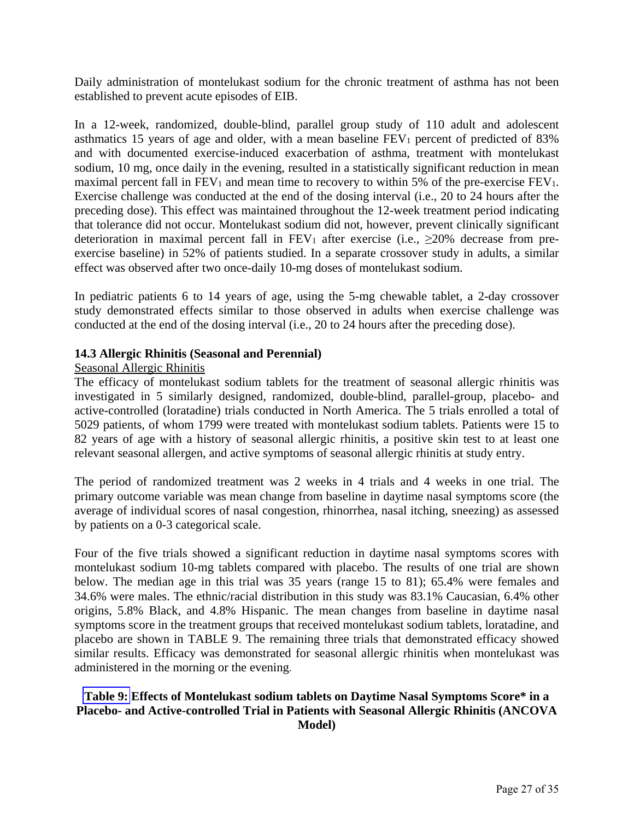<span id="page-26-0"></span>Daily administration of montelukast sodium for the chronic treatment of asthma has not been established to prevent acute episodes of EIB.

In a 12-week, randomized, double-blind, parallel group study of 110 adult and adolescent asthmatics 15 years of age and older, with a mean baseline FEV1 percent of predicted of 83% and with documented exercise-induced exacerbation of asthma, treatment with montelukast sodium, 10 mg, once daily in the evening, resulted in a statistically significant reduction in mean maximal percent fall in  $FEV_1$  and mean time to recovery to within 5% of the pre-exercise  $FEV_1$ . Exercise challenge was conducted at the end of the dosing interval (i.e., 20 to 24 hours after the preceding dose). This effect was maintained throughout the 12-week treatment period indicating that tolerance did not occur. Montelukast sodium did not, however, prevent clinically significant deterioration in maximal percent fall in  $FEV_1$  after exercise (i.e.,  $\geq$ 20% decrease from preexercise baseline) in 52% of patients studied. In a separate crossover study in adults, a similar effect was observed after two once-daily 10-mg doses of montelukast sodium.

In pediatric patients 6 to 14 years of age, using the 5-mg chewable tablet, a 2-day crossover study demonstrated effects similar to those observed in adults when exercise challenge was conducted at the end of the dosing interval (i.e., 20 to 24 hours after the preceding dose).

## **14.3 Allergic Rhinitis (Seasonal and Perennial)**

#### Seasonal Allergic Rhinitis

The efficacy of montelukast sodium tablets for the treatment of seasonal allergic rhinitis was investigated in 5 similarly designed, randomized, double-blind, parallel-group, placebo- and active-controlled (loratadine) trials conducted in North America. The 5 trials enrolled a total of 5029 patients, of whom 1799 were treated with montelukast sodium tablets. Patients were 15 to 82 years of age with a history of seasonal allergic rhinitis, a positive skin test to at least one relevant seasonal allergen, and active symptoms of seasonal allergic rhinitis at study entry.

The period of randomized treatment was 2 weeks in 4 trials and 4 weeks in one trial. The primary outcome variable was mean change from baseline in daytime nasal symptoms score (the average of individual scores of nasal congestion, rhinorrhea, nasal itching, sneezing) as assessed by patients on a 0-3 categorical scale.

Four of the five trials showed a significant reduction in daytime nasal symptoms scores with montelukast sodium 10-mg tablets compared with placebo. The results of one trial are shown below. The median age in this trial was 35 years (range 15 to 81); 65.4% were females and 34.6% were males. The ethnic/racial distribution in this study was 83.1% Caucasian, 6.4% other origins, 5.8% Black, and 4.8% Hispanic. The mean changes from baseline in daytime nasal symptoms score in the treatment groups that received montelukast sodium tablets, loratadine, and placebo are shown in TABLE 9. The remaining three trials that demonstrated efficacy showed similar results. Efficacy was demonstrated for seasonal allergic rhinitis when montelukast was administered in the morning or the evening.

## **[Table 9:](#page-27-0) Effects of Montelukast sodium tablets on Daytime Nasal Symptoms Score\* in a Placebo- and Active-controlled Trial in Patients with Seasonal Allergic Rhinitis (ANCOVA Model)**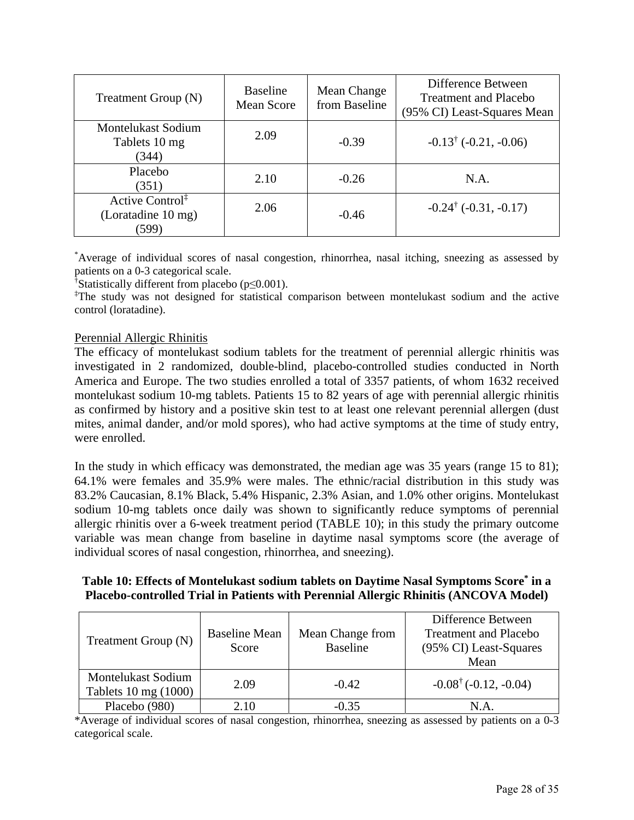<span id="page-27-0"></span>

| Treatment Group (N)                                 | <b>Baseline</b><br><b>Mean Score</b> | Mean Change<br>from Baseline | Difference Between<br><b>Treatment and Placebo</b><br>(95% CI) Least-Squares Mean |
|-----------------------------------------------------|--------------------------------------|------------------------------|-----------------------------------------------------------------------------------|
| <b>Montelukast Sodium</b><br>Tablets 10 mg<br>(344) | 2.09                                 | $-0.39$                      | $-0.13^{\dagger}$ ( $-0.21, -0.06$ )                                              |
| Placebo<br>(351)                                    | 2.10                                 | $-0.26$                      | N.A.                                                                              |
| Active Control <sup>‡</sup><br>(Loratadine 10 mg)   | 2.06                                 | $-0.46$                      | $-0.24^{\dagger}$ (-0.31, -0.17)                                                  |

\* Average of individual scores of nasal congestion, rhinorrhea, nasal itching, sneezing as assessed by patients on a 0-3 categorical scale.

† Statistically different from placebo (p≤0.001).

‡ The study was not designed for statistical comparison between montelukast sodium and the active control (loratadine).

## Perennial Allergic Rhinitis

The efficacy of montelukast sodium tablets for the treatment of perennial allergic rhinitis was investigated in 2 randomized, double-blind, placebo-controlled studies conducted in North America and Europe. The two studies enrolled a total of 3357 patients, of whom 1632 received montelukast sodium 10-mg tablets. Patients 15 to 82 years of age with perennial allergic rhinitis as confirmed by history and a positive skin test to at least one relevant perennial allergen (dust mites, animal dander, and/or mold spores), who had active symptoms at the time of study entry, were enrolled.

In the study in which efficacy was demonstrated, the median age was 35 years (range 15 to 81); 64.1% were females and 35.9% were males. The ethnic/racial distribution in this study was 83.2% Caucasian, 8.1% Black, 5.4% Hispanic, 2.3% Asian, and 1.0% other origins. Montelukast sodium 10-mg tablets once daily was shown to significantly reduce symptoms of perennial allergic rhinitis over a 6-week treatment period (TABLE 10); in this study the primary outcome variable was mean change from baseline in daytime nasal symptoms score (the average of individual scores of nasal congestion, rhinorrhea, and sneezing).

## **Table 10: Effects of Montelukast sodium tablets on Daytime Nasal Symptoms Score\* in a Placebo-controlled Trial in Patients with Perennial Allergic Rhinitis (ANCOVA Model)**

| Treatment Group (N)                               | <b>Baseline Mean</b><br>Score | Mean Change from<br><b>Baseline</b> | Difference Between<br><b>Treatment and Placebo</b><br>(95% CI) Least-Squares<br>Mean |
|---------------------------------------------------|-------------------------------|-------------------------------------|--------------------------------------------------------------------------------------|
| <b>Montelukast Sodium</b><br>Tablets 10 mg (1000) | 2.09                          | $-0.42$                             | $-0.08^{\dagger}$ (-0.12, -0.04)                                                     |
| Placebo (980)                                     | 2.10                          | $-0.35$                             | N.A.                                                                                 |

\*Average of individual scores of nasal congestion, rhinorrhea, sneezing as assessed by patients on a 0-3 categorical scale.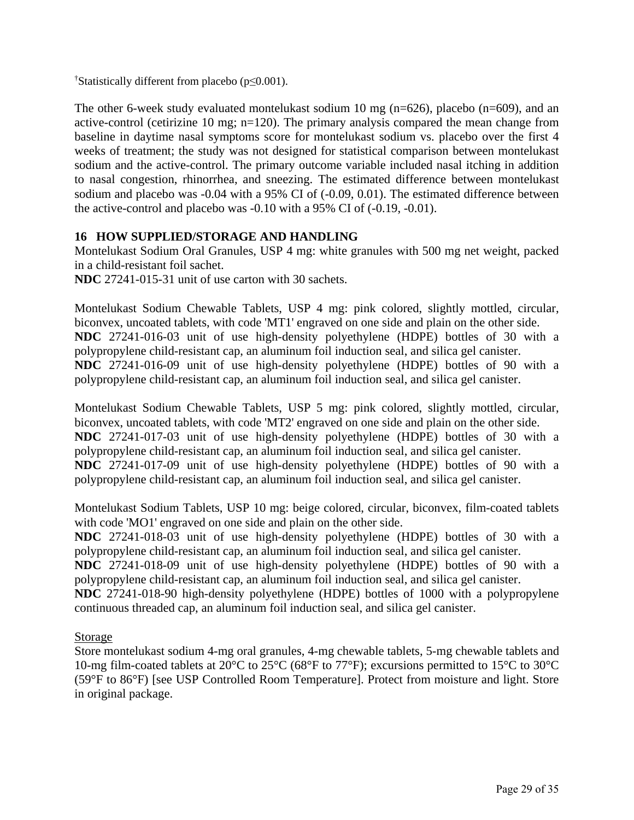<span id="page-28-0"></span>† Statistically different from placebo (p≤0.001).

The other 6-week study evaluated montelukast sodium 10 mg (n=626), placebo (n=609), and an active-control (cetirizine 10 mg; n=120). The primary analysis compared the mean change from baseline in daytime nasal symptoms score for montelukast sodium vs. placebo over the first 4 weeks of treatment; the study was not designed for statistical comparison between montelukast sodium and the active-control. The primary outcome variable included nasal itching in addition to nasal congestion, rhinorrhea, and sneezing. The estimated difference between montelukast sodium and placebo was -0.04 with a 95% CI of (-0.09, 0.01). The estimated difference between the active-control and placebo was -0.10 with a 95% CI of (-0.19, -0.01).

# **16 HOW SUPPLIED/STORAGE AND HANDLING**

Montelukast Sodium Oral Granules, USP 4 mg: white granules with 500 mg net weight, packed in a child-resistant foil sachet.

**NDC** 27241-015-31 unit of use carton with 30 sachets.

Montelukast Sodium Chewable Tablets, USP 4 mg: pink colored, slightly mottled, circular, biconvex, uncoated tablets, with code 'MT1' engraved on one side and plain on the other side. **NDC** 27241-016-03 unit of use high-density polyethylene (HDPE) bottles of 30 with a polypropylene child-resistant cap, an aluminum foil induction seal, and silica gel canister. **NDC** 27241-016-09 unit of use high-density polyethylene (HDPE) bottles of 90 with a polypropylene child-resistant cap, an aluminum foil induction seal, and silica gel canister.

Montelukast Sodium Chewable Tablets, USP 5 mg: pink colored, slightly mottled, circular, biconvex, uncoated tablets, with code 'MT2' engraved on one side and plain on the other side. **NDC** 27241-017-03 unit of use high-density polyethylene (HDPE) bottles of 30 with a polypropylene child-resistant cap, an aluminum foil induction seal, and silica gel canister. **NDC** 27241-017-09 unit of use high-density polyethylene (HDPE) bottles of 90 with a polypropylene child-resistant cap, an aluminum foil induction seal, and silica gel canister.

Montelukast Sodium Tablets, USP 10 mg: beige colored, circular, biconvex, film-coated tablets with code 'MO1' engraved on one side and plain on the other side.

**NDC** 27241-018-03 unit of use high-density polyethylene (HDPE) bottles of 30 with a polypropylene child-resistant cap, an aluminum foil induction seal, and silica gel canister.

**NDC** 27241-018-09 unit of use high-density polyethylene (HDPE) bottles of 90 with a polypropylene child-resistant cap, an aluminum foil induction seal, and silica gel canister.

**NDC** 27241-018-90 high-density polyethylene (HDPE) bottles of 1000 with a polypropylene continuous threaded cap, an aluminum foil induction seal, and silica gel canister.

## Storage

Store montelukast sodium 4-mg oral granules, 4-mg chewable tablets, 5-mg chewable tablets and 10-mg film-coated tablets at 20°C to 25°C (68°F to 77°F); excursions permitted to 15°C to 30°C (59°F to 86°F) [see USP Controlled Room Temperature]. Protect from moisture and light. Store in original package.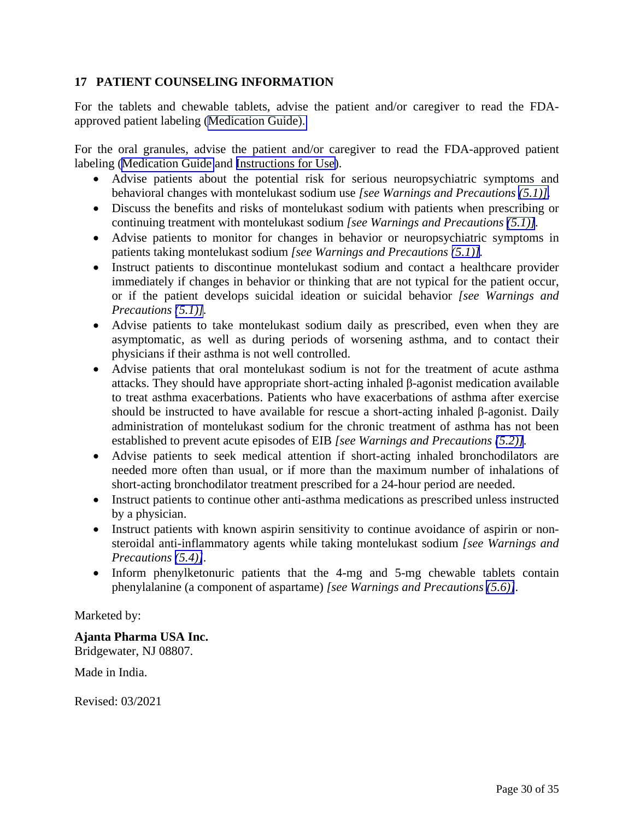# <span id="page-29-0"></span>**17 PATIENT COUNSELING INFORMATION**

For the tablets and chewable tablets, advise the patient and/or caregiver to read the FDAapproved patient labeling ([Medication Guide\).](#page-30-2) 

For the oral granules, advise the patient and/or caregiver to read the FDA-approved patient labeling ([Medication Guide](#page-30-1) and [Instructions for Use\)](#page-34-0).

- Advise patients about the potential risk for serious neuropsychiatric symptoms and behavioral changes with montelukast sodium use *[see Warnings and Precautions [\(5.1\)\].](#page-5-2)*
- Discuss the benefits and risks of montelukast sodium with patients when prescribing or continuing treatment with montelukast sodium *[see Warnings and Precautions [\(5.1\)\]](#page-5-2).*
- Advise patients to monitor for changes in behavior or neuropsychiatric symptoms in patients taking montelukast sodium *[see Warnings and Precautions [\(5.1\)\]](#page-5-2).*
- Instruct patients to discontinue montelukast sodium and contact a healthcare provider immediately if changes in behavior or thinking that are not typical for the patient occur, or if the patient develops suicidal ideation or suicidal behavior *[see Warnings and Precautions [\(5.1\)\]](#page-5-2).*
- Advise patients to take montelukast sodium daily as prescribed, even when they are asymptomatic, as well as during periods of worsening asthma, and to contact their physicians if their asthma is not well controlled.
- Advise patients that oral montelukast sodium is not for the treatment of acute asthma attacks. They should have appropriate short-acting inhaled β-agonist medication available to treat asthma exacerbations. Patients who have exacerbations of asthma after exercise should be instructed to have available for rescue a short-acting inhaled β-agonist. Daily administration of montelukast sodium for the chronic treatment of asthma has not been established to prevent acute episodes of EIB *[see Warnings and Precautions [\(5.2\)\]](#page-6-1).*
- Advise patients to seek medical attention if short-acting inhaled bronchodilators are needed more often than usual, or if more than the maximum number of inhalations of short-acting bronchodilator treatment prescribed for a 24-hour period are needed.
- Instruct patients to continue other anti-asthma medications as prescribed unless instructed by a physician.
- Instruct patients with known aspirin sensitivity to continue avoidance of aspirin or nonsteroidal anti-inflammatory agents while taking montelukast sodium *[see Warnings and Precautions [\(5.4\)\]](#page-6-3).*
- Inform phenylketonuric patients that the 4-mg and 5-mg chewable tablets contain phenylalanine (a component of aspartame) *[see Warnings and Precautions [\(5.6\)\]](#page-6-3).*

# Marketed by:

# **Ajanta Pharma USA Inc.**

Bridgewater, NJ 08807.

Made in India.

Revised: 03/2021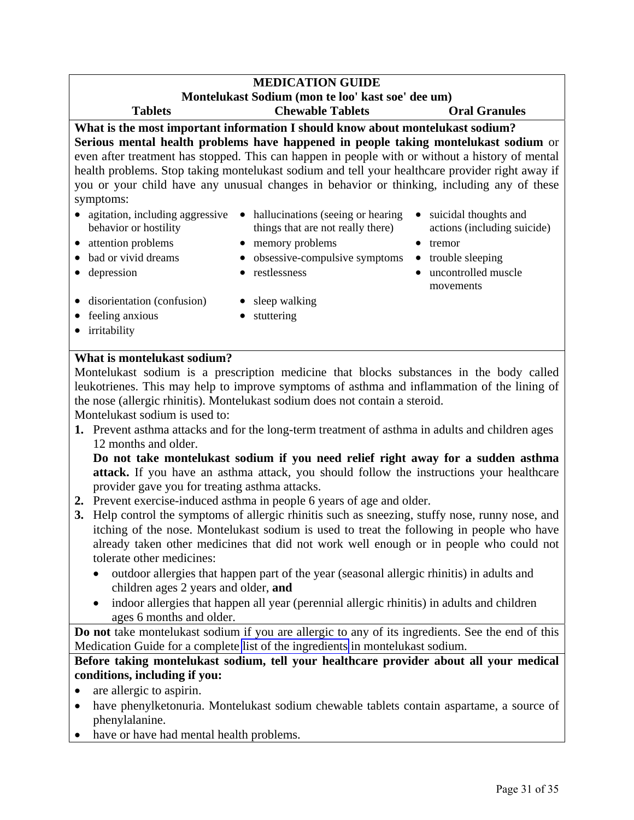#### <span id="page-30-2"></span><span id="page-30-1"></span><span id="page-30-0"></span>**MEDICATION GUIDE Montelukast Sodium (mon te loo' kast soe' dee um) Tablets Chewable Tablets Oral Granules What is the most important information I should know about montelukast sodium? Serious mental health problems have happened in people taking montelukast sodium** or even after treatment has stopped. This can happen in people with or without a history of mental health problems. Stop taking montelukast sodium and tell your healthcare provider right away if you or your child have any unusual changes in behavior or thinking, including any of these symptoms: • agitation, including aggressive • hallucinations (seeing or hearing behavior or hostility things that are not really there) • suicidal thoughts and actions (including suicide) • attention problems • memory problems • tremor • bad or vivid dreams • obsessive-compulsive symptoms • trouble sleeping • depression • restlessness • uncontrolled muscle movements • disorientation (confusion) • sleep walking • feeling anxious • stuttering

• irritability

# **What is montelukast sodium?**

Montelukast sodium is a prescription medicine that blocks substances in the body called leukotrienes. This may help to improve symptoms of asthma and inflammation of the lining of the nose (allergic rhinitis). Montelukast sodium does not contain a steroid.

Montelukast sodium is used to:

**1.** Prevent asthma attacks and for the long-term treatment of asthma in adults and children ages 12 months and older.

**Do not take montelukast sodium if you need relief right away for a sudden asthma attack.** If you have an asthma attack, you should follow the instructions your healthcare provider gave you for treating asthma attacks.

- **2.** Prevent exercise-induced asthma in people 6 years of age and older.
- **3.** Help control the symptoms of allergic rhinitis such as sneezing, stuffy nose, runny nose, and itching of the nose. Montelukast sodium is used to treat the following in people who have already taken other medicines that did not work well enough or in people who could not tolerate other medicines:
	- outdoor allergies that happen part of the year (seasonal allergic rhinitis) in adults and children ages 2 years and older, **and**
	- indoor allergies that happen all year (perennial allergic rhinitis) in adults and children ages 6 months and older.

**Do not** take montelukast sodium if you are allergic to any of its ingredients. See the end of this Medication Guide for a complete [list of the ingredients](#page-32-0) in montelukast sodium.

**Before taking montelukast sodium, tell your healthcare provider about all your medical conditions, including if you:** 

- are allergic to aspirin.
- have phenylketonuria. Montelukast sodium chewable tablets contain aspartame, a source of phenylalanine.
- have or have had mental health problems.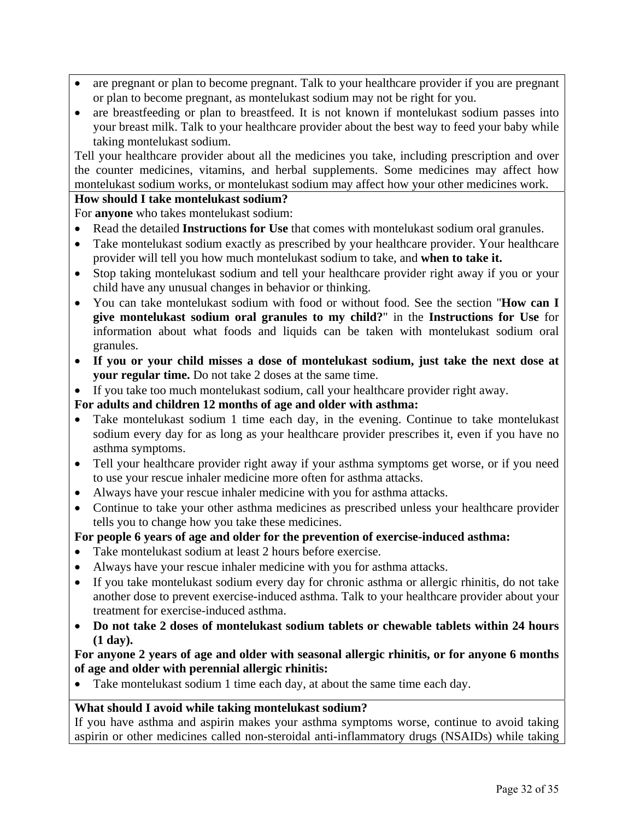- are pregnant or plan to become pregnant. Talk to your healthcare provider if you are pregnant or plan to become pregnant, as montelukast sodium may not be right for you.
- are breastfeeding or plan to breastfeed. It is not known if montelukast sodium passes into your breast milk. Talk to your healthcare provider about the best way to feed your baby while taking montelukast sodium.

Tell your healthcare provider about all the medicines you take, including prescription and over the counter medicines, vitamins, and herbal supplements. Some medicines may affect how montelukast sodium works, or montelukast sodium may affect how your other medicines work.

#### **How should I take montelukast sodium?**

For **anyone** who takes montelukast sodium:

- Read the detailed **Instructions for Use** that comes with montelukast sodium oral granules.
- Take montelukast sodium exactly as prescribed by your healthcare provider. Your healthcare provider will tell you how much montelukast sodium to take, and **when to take it.**
- Stop taking montelukast sodium and tell your healthcare provider right away if you or your child have any unusual changes in behavior or thinking.
- You can take montelukast sodium with food or without food. See the section "**How can I give montelukast sodium oral granules to my child?**" in the **Instructions for Use** for information about what foods and liquids can be taken with montelukast sodium oral granules.
- **If you or your child misses a dose of montelukast sodium, just take the next dose at your regular time.** Do not take 2 doses at the same time.
- If you take too much montelukast sodium, call your healthcare provider right away.

#### **For adults and children 12 months of age and older with asthma:**

- Take montelukast sodium 1 time each day, in the evening. Continue to take montelukast sodium every day for as long as your healthcare provider prescribes it, even if you have no asthma symptoms.
- Tell your healthcare provider right away if your asthma symptoms get worse, or if you need to use your rescue inhaler medicine more often for asthma attacks.
- Always have your rescue inhaler medicine with you for asthma attacks.
- Continue to take your other asthma medicines as prescribed unless your healthcare provider tells you to change how you take these medicines.

## **For people 6 years of age and older for the prevention of exercise-induced asthma:**

- Take montelukast sodium at least 2 hours before exercise.
- Always have your rescue inhaler medicine with you for asthma attacks.
- If you take montelukast sodium every day for chronic asthma or allergic rhinitis, do not take another dose to prevent exercise-induced asthma. Talk to your healthcare provider about your treatment for exercise-induced asthma.
- **Do not take 2 doses of montelukast sodium tablets or chewable tablets within 24 hours (1 day).**

## **For anyone 2 years of age and older with seasonal allergic rhinitis, or for anyone 6 months of age and older with perennial allergic rhinitis:**

Take montelukast sodium 1 time each day, at about the same time each day.

## **What should I avoid while taking montelukast sodium?**

If you have asthma and aspirin makes your asthma symptoms worse, continue to avoid taking aspirin or other medicines called non-steroidal anti-inflammatory drugs (NSAIDs) while taking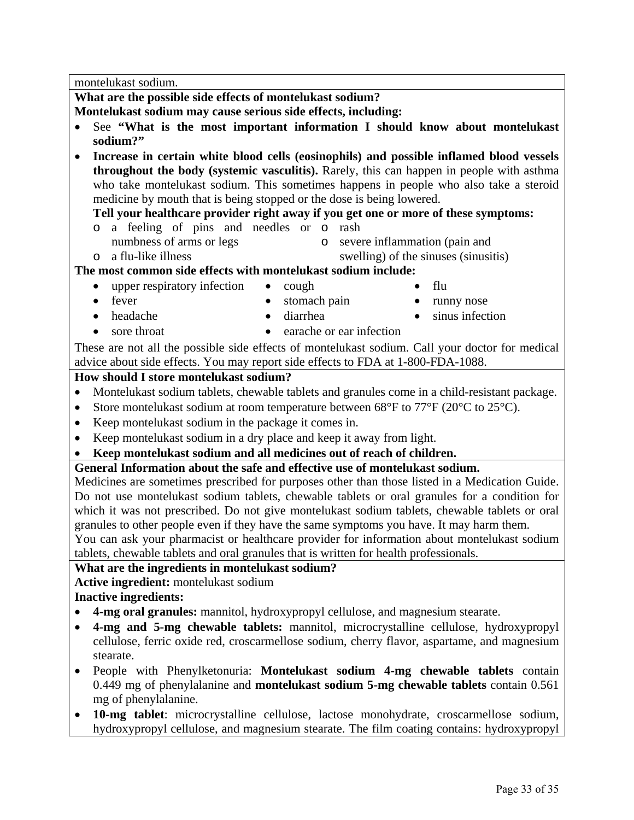<span id="page-32-0"></span>montelukast sodium.

**What are the possible side effects of montelukast sodium?** 

**Montelukast sodium may cause serious side effects, including:** 

- See **"What is the most important information I should know about montelukast sodium?"**
- **Increase in certain white blood cells (eosinophils) and possible inflamed blood vessels throughout the body (systemic vasculitis).** Rarely, this can happen in people with asthma who take montelukast sodium. This sometimes happens in people who also take a steroid medicine by mouth that is being stopped or the dose is being lowered.

## **Tell your healthcare provider right away if you get one or more of these symptoms:**

- o a feeling of pins and needles or o rash
- numbness of arms or legs
- o severe inflammation (pain and
- 
- o a flu-like illness swelling) of the sinuses (sinusitis)

# **The most common side effects with montelukast sodium include:**

- upper respiratory infection cough flu
- 
- 
- 
- fever stomach pain runny nose
- headache diarrhea sinus infection
- sore throat earache or ear infection

These are not all the possible side effects of montelukast sodium. Call your doctor for medical advice about side effects. You may report side effects to FDA at 1-800-FDA-1088.

# **How should I store montelukast sodium?**

- Montelukast sodium tablets, chewable tablets and granules come in a child-resistant package.
- Store montelukast sodium at room temperature between  $68^{\circ}$ F to  $77^{\circ}$ F (20 $^{\circ}$ C to 25 $^{\circ}$ C).
- Keep montelukast sodium in the package it comes in.
- Keep montelukast sodium in a dry place and keep it away from light.
- **Keep montelukast sodium and all medicines out of reach of children.**

# **General Information about the safe and effective use of montelukast sodium.**

Medicines are sometimes prescribed for purposes other than those listed in a Medication Guide. Do not use montelukast sodium tablets, chewable tablets or oral granules for a condition for which it was not prescribed. Do not give montelukast sodium tablets, chewable tablets or oral granules to other people even if they have the same symptoms you have. It may harm them. You can ask your pharmacist or healthcare provider for information about montelukast sodium

tablets, chewable tablets and oral granules that is written for health professionals.

# **What are the ingredients in montelukast sodium?**

**Active ingredient:** montelukast sodium

# **Inactive ingredients:**

- **4-mg oral granules:** mannitol, hydroxypropyl cellulose, and magnesium stearate.
- **4-mg and 5-mg chewable tablets:** mannitol, microcrystalline cellulose, hydroxypropyl cellulose, ferric oxide red, croscarmellose sodium, cherry flavor, aspartame, and magnesium stearate.
- People with Phenylketonuria: **Montelukast sodium 4-mg chewable tablets** contain 0.449 mg of phenylalanine and **montelukast sodium 5-mg chewable tablets** contain 0.561 mg of phenylalanine.
- **10-mg tablet**: microcrystalline cellulose, lactose monohydrate, croscarmellose sodium, hydroxypropyl cellulose, and magnesium stearate. The film coating contains: hydroxypropyl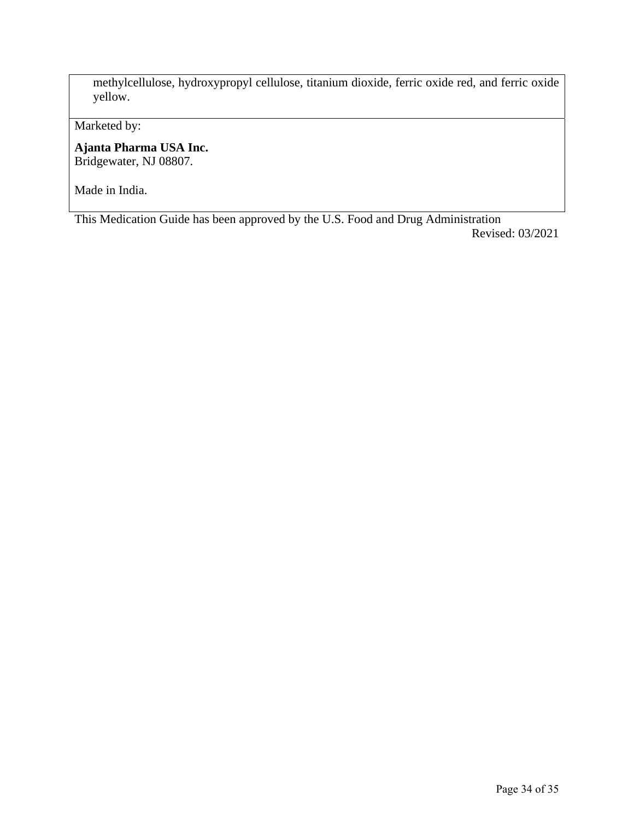methylcellulose, hydroxypropyl cellulose, titanium dioxide, ferric oxide red, and ferric oxide yellow.

Marketed by:

**Ajanta Pharma USA Inc.**  Bridgewater, NJ 08807.

Made in India.

This Medication Guide has been approved by the U.S. Food and Drug Administration Revised: 03/2021